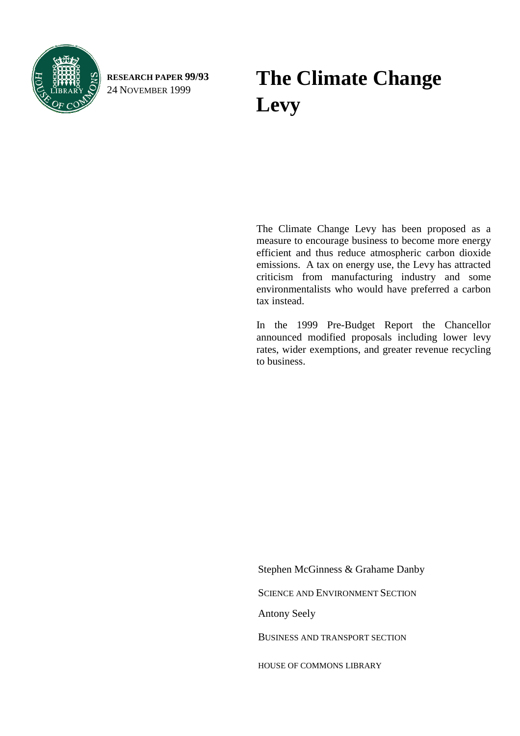

**RESEARCH PAPER 99/93**

# RESEARCH PAPER 99/93 **The Climate Change** 24 NOVEMBER 1999 **Levy**

The Climate Change Levy has been proposed as a measure to encourage business to become more energy efficient and thus reduce atmospheric carbon dioxide emissions. A tax on energy use, the Levy has attracted criticism from manufacturing industry and some environmentalists who would have preferred a carbon tax instead.

In the 1999 Pre-Budget Report the Chancellor announced modified proposals including lower levy rates, wider exemptions, and greater revenue recycling to business.

Antony Seely BUSINESS AND TRANSPORT SECTION HOUSE OF COMMONS LIBRARY Stephen McGinness & Grahame Danby SCIENCE AND ENVIRONMENT SECTION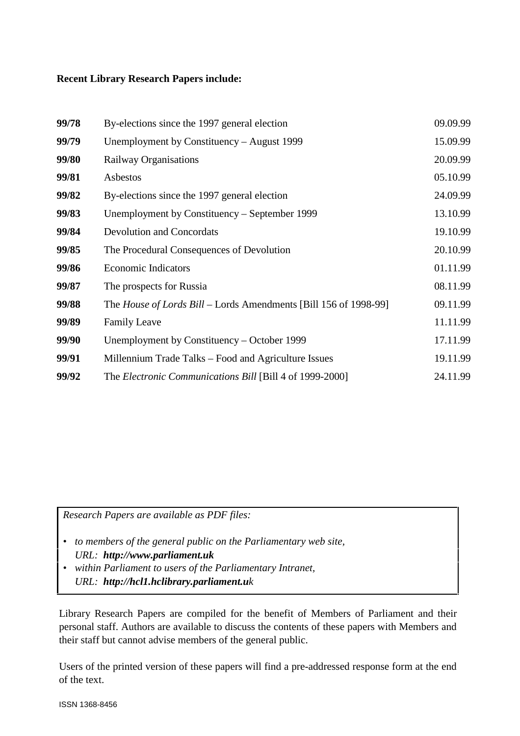#### **Recent Library Research Papers include:**

| 99/78 | By-elections since the 1997 general election                     | 09.09.99 |
|-------|------------------------------------------------------------------|----------|
| 99/79 | Unemployment by Constituency – August 1999                       | 15.09.99 |
| 99/80 | Railway Organisations                                            | 20.09.99 |
| 99/81 | Asbestos                                                         | 05.10.99 |
| 99/82 | By-elections since the 1997 general election                     | 24.09.99 |
| 99/83 | Unemployment by Constituency – September 1999                    | 13.10.99 |
| 99/84 | <b>Devolution and Concordats</b>                                 | 19.10.99 |
| 99/85 | The Procedural Consequences of Devolution                        | 20.10.99 |
| 99/86 | <b>Economic Indicators</b>                                       | 01.11.99 |
| 99/87 | The prospects for Russia                                         | 08.11.99 |
| 99/88 | The House of Lords Bill – Lords Amendments [Bill 156 of 1998-99] | 09.11.99 |
| 99/89 | <b>Family Leave</b>                                              | 11.11.99 |
| 99/90 | Unemployment by Constituency – October 1999                      | 17.11.99 |
| 99/91 | Millennium Trade Talks – Food and Agriculture Issues             | 19.11.99 |
| 99/92 | The <i>Electronic Communications Bill</i> [Bill 4 of 1999-2000]  | 24.11.99 |

*Research Papers are available as PDF files:*

- *to members of the general public on the Parliamentary web site, URL: http://www.parliament.uk*
- *within Parliament to users of the Parliamentary Intranet, URL: http://hcl1.hclibrary.parliament.uk*

Library Research Papers are compiled for the benefit of Members of Parliament and their personal staff. Authors are available to discuss the contents of these papers with Members and their staff but cannot advise members of the general public.

Users of the printed version of these papers will find a pre-addressed response form at the end of the text.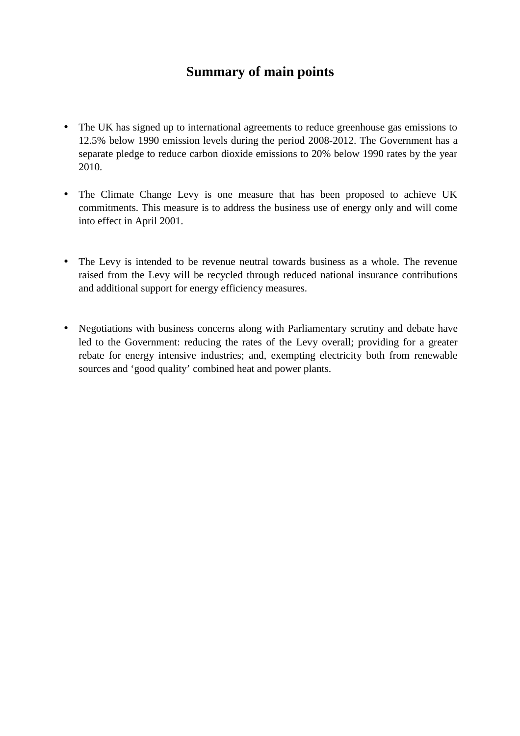# **Summary of main points**

- The UK has signed up to international agreements to reduce greenhouse gas emissions to 12.5% below 1990 emission levels during the period 2008-2012. The Government has a separate pledge to reduce carbon dioxide emissions to 20% below 1990 rates by the year 2010.
- The Climate Change Levy is one measure that has been proposed to achieve UK commitments. This measure is to address the business use of energy only and will come into effect in April 2001.
- The Levy is intended to be revenue neutral towards business as a whole. The revenue raised from the Levy will be recycled through reduced national insurance contributions and additional support for energy efficiency measures.
- Negotiations with business concerns along with Parliamentary scrutiny and debate have led to the Government: reducing the rates of the Levy overall; providing for a greater rebate for energy intensive industries; and, exempting electricity both from renewable sources and 'good quality' combined heat and power plants.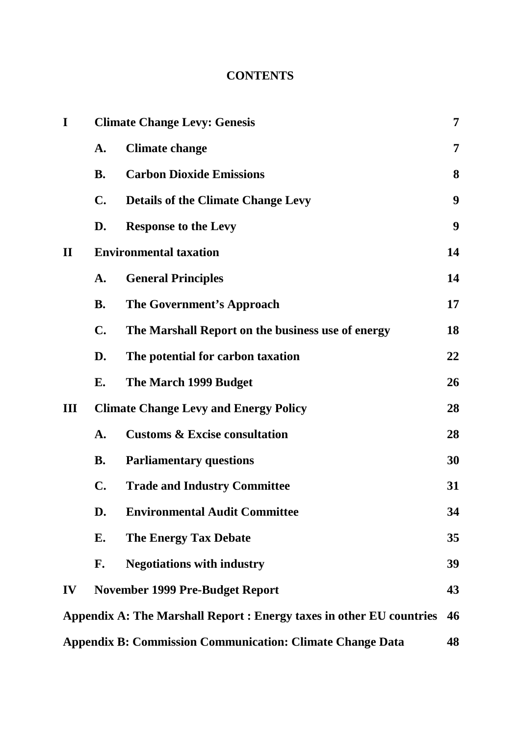# **CONTENTS**

| I            | <b>Climate Change Levy: Genesis</b>          |                                                                      |                  |  |  |
|--------------|----------------------------------------------|----------------------------------------------------------------------|------------------|--|--|
|              | A.                                           | <b>Climate change</b>                                                | 7                |  |  |
|              | <b>B.</b>                                    | <b>Carbon Dioxide Emissions</b>                                      | 8                |  |  |
|              | $\mathbf{C}$ .                               | <b>Details of the Climate Change Levy</b>                            | $\boldsymbol{9}$ |  |  |
|              | D.                                           | <b>Response to the Levy</b>                                          | $\boldsymbol{9}$ |  |  |
| $\mathbf{I}$ | <b>Environmental taxation</b>                |                                                                      |                  |  |  |
|              | A.                                           | <b>General Principles</b>                                            | 14               |  |  |
|              | <b>B.</b>                                    | The Government's Approach                                            | 17               |  |  |
|              | $\mathbf{C}$ .                               | The Marshall Report on the business use of energy                    |                  |  |  |
|              | D.                                           | The potential for carbon taxation                                    | 22               |  |  |
|              | E.                                           | The March 1999 Budget                                                | 26               |  |  |
| Ш            | <b>Climate Change Levy and Energy Policy</b> |                                                                      |                  |  |  |
|              | $\mathbf{A}$ .                               | <b>Customs &amp; Excise consultation</b>                             | 28               |  |  |
|              | <b>B.</b>                                    | <b>Parliamentary questions</b>                                       | 30               |  |  |
|              | C.                                           | <b>Trade and Industry Committee</b>                                  | 31               |  |  |
|              | D.                                           | <b>Environmental Audit Committee</b>                                 | 34               |  |  |
|              | E.                                           | <b>The Energy Tax Debate</b>                                         | 35               |  |  |
|              | F.                                           | <b>Negotiations with industry</b>                                    | 39               |  |  |
| IV           |                                              | <b>November 1999 Pre-Budget Report</b>                               | 43               |  |  |
|              |                                              | Appendix A: The Marshall Report : Energy taxes in other EU countries | 46               |  |  |
|              |                                              | <b>Appendix B: Commission Communication: Climate Change Data</b>     | 48               |  |  |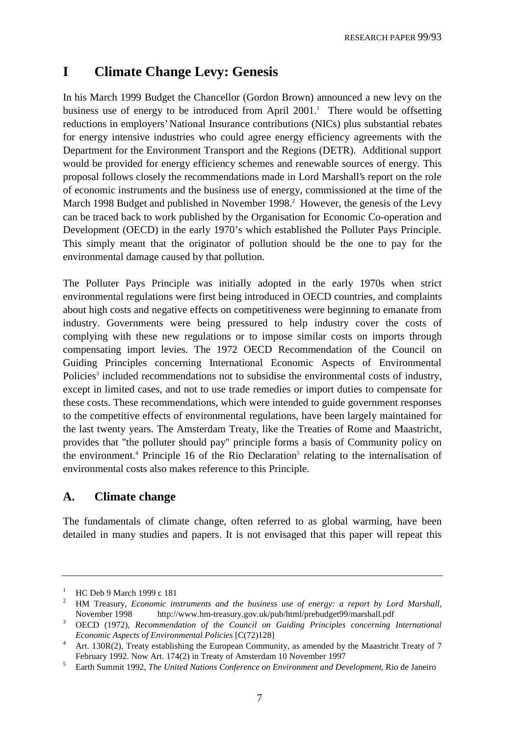# **I Climate Change Levy: Genesis**

In his March 1999 Budget the Chancellor (Gordon Brown) announced a new levy on the business use of energy to be introduced from April 2001.<sup>1</sup> There would be offsetting reductions in employers' National Insurance contributions (NICs) plus substantial rebates for energy intensive industries who could agree energy efficiency agreements with the Department for the Environment Transport and the Regions (DETR). Additional support would be provided for energy efficiency schemes and renewable sources of energy. This proposal follows closely the recommendations made in Lord Marshall's report on the role of economic instruments and the business use of energy, commissioned at the time of the March 1998 Budget and published in November 1998.<sup>2</sup> However, the genesis of the Levy can be traced back to work published by the Organisation for Economic Co-operation and Development (OECD) in the early 1970's which established the Polluter Pays Principle. This simply meant that the originator of pollution should be the one to pay for the environmental damage caused by that pollution.

The Polluter Pays Principle was initially adopted in the early 1970s when strict environmental regulations were first being introduced in OECD countries, and complaints about high costs and negative effects on competitiveness were beginning to emanate from industry. Governments were being pressured to help industry cover the costs of complying with these new regulations or to impose similar costs on imports through compensating import levies. The 1972 OECD Recommendation of the Council on Guiding Principles concerning International Economic Aspects of Environmental Policies<sup>3</sup> included recommendations not to subsidise the environmental costs of industry, except in limited cases, and not to use trade remedies or import duties to compensate for these costs. These recommendations, which were intended to guide government responses to the competitive effects of environmental regulations, have been largely maintained for the last twenty years. The Amsterdam Treaty, like the Treaties of Rome and Maastricht, provides that "the polluter should pay" principle forms a basis of Community policy on the environment.<sup>4</sup> Principle 16 of the Rio Declaration<sup>5</sup> relating to the internalisation of environmental costs also makes reference to this Principle.

# **A. Climate change**

The fundamentals of climate change, often referred to as global warming, have been detailed in many studies and papers. It is not envisaged that this paper will repeat this

<sup>&</sup>lt;sup>1</sup> HC Deb 9 March 1999 c 181

<sup>2</sup> HM Treasury, *Economic instruments and the business use of energy: a report by Lord Marshall*, November 1998 http://www.hm-treasury.gov.uk/pub/html/prebudget99/marshall.pdf

<sup>3</sup> OECD (1972), *Recommendation of the Council on Guiding Principles concerning International Economic Aspects of Environmental Policies* [C(72)128]

<sup>&</sup>lt;sup>4</sup> Art. 130R(2), Treaty establishing the European Community, as amended by the Maastricht Treaty of 7 February 1992. Now A[rt. 174\(2\) in Treaty of Amsterdam 10 November 1997](http://www.hm-treasury.gov.uk/pub/html/prebudget99/marshall.pdf)

<sup>5</sup> Earth Summit 1992, *The United Nations Conference on Environment and Development*, Rio de Janeiro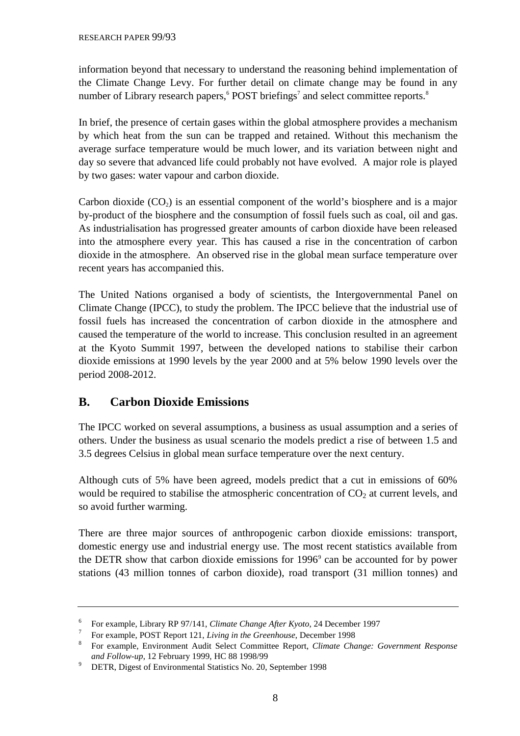information beyond that necessary to understand the reasoning behind implementation of the Climate Change Levy. For further detail on climate change may be found in any number of Library research papers, <sup>6</sup> POST briefings<sup>7</sup> and select committee reports.<sup>8</sup>

In brief, the presence of certain gases within the global atmosphere provides a mechanism by which heat from the sun can be trapped and retained. Without this mechanism the average surface temperature would be much lower, and its variation between night and day so severe that advanced life could probably not have evolved. A major role is played by two gases: water vapour and carbon dioxide.

Carbon dioxide  $(CO<sub>2</sub>)$  is an essential component of the world's biosphere and is a major by-product of the biosphere and the consumption of fossil fuels such as coal, oil and gas. As industrialisation has progressed greater amounts of carbon dioxide have been released into the atmosphere every year. This has caused a rise in the concentration of carbon dioxide in the atmosphere. An observed rise in the global mean surface temperature over recent years has accompanied this.

The United Nations organised a body of scientists, the Intergovernmental Panel on Climate Change (IPCC), to study the problem. The IPCC believe that the industrial use of fossil fuels has increased the concentration of carbon dioxide in the atmosphere and caused the temperature of the world to increase. This conclusion resulted in an agreement at the Kyoto Summit 1997, between the developed nations to stabilise their carbon dioxide emissions at 1990 levels by the year 2000 and at 5% below 1990 levels over the period 2008-2012.

# **B. Carbon Dioxide Emissions**

The IPCC worked on several assumptions, a business as usual assumption and a series of others. Under the business as usual scenario the models predict a rise of between 1.5 and 3.5 degrees Celsius in global mean surface temperature over the next century.

Although cuts of 5% have been agreed, models predict that a cut in emissions of 60% would be required to stabilise the atmospheric concentration of  $CO<sub>2</sub>$  at current levels, and so avoid further warming.

There are three major sources of anthropogenic carbon dioxide emissions: transport, domestic energy use and industrial energy use. The most recent statistics available from the DETR show that carbon dioxide emissions for 1996<sup>9</sup> can be accounted for by power stations (43 million tonnes of carbon dioxide), road transport (31 million tonnes) and

<sup>6</sup> For example, Library RP 97/141, *Climate Change After Kyoto*, 24 December 1997

<sup>7</sup> For example, POST Report 121, *Living in the Greenhouse*, December 1998

<sup>8</sup> For example, Environment Audit Select Committee Report, *Climate Change: Government Response and Follow-up*, 12 February 1999, HC 88 1998/99

<sup>&</sup>lt;sup>9</sup> DETR, Digest of Environmental Statistics No. 20, September 1998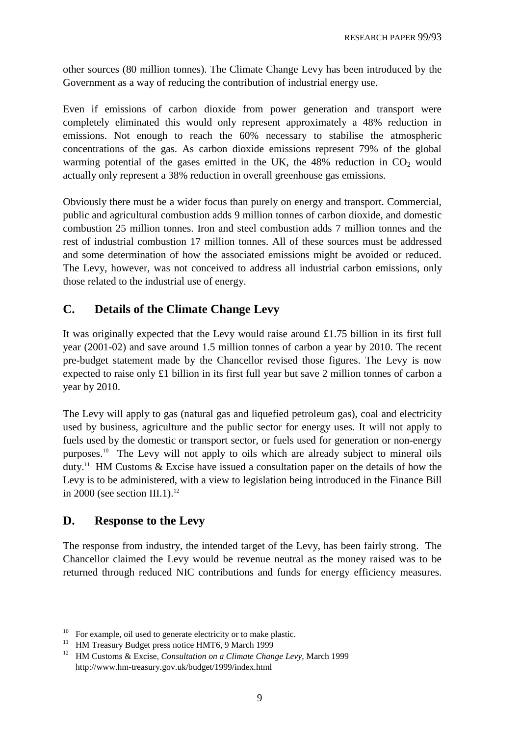other sources (80 million tonnes). The Climate Change Levy has been introduced by the Government as a way of reducing the contribution of industrial energy use.

Even if emissions of carbon dioxide from power generation and transport were completely eliminated this would only represent approximately a 48% reduction in emissions. Not enough to reach the 60% necessary to stabilise the atmospheric concentrations of the gas. As carbon dioxide emissions represent 79% of the global warming potential of the gases emitted in the UK, the  $48\%$  reduction in CO<sub>2</sub> would actually only represent a 38% reduction in overall greenhouse gas emissions.

Obviously there must be a wider focus than purely on energy and transport. Commercial, public and agricultural combustion adds 9 million tonnes of carbon dioxide, and domestic combustion 25 million tonnes. Iron and steel combustion adds 7 million tonnes and the rest of industrial combustion 17 million tonnes. All of these sources must be addressed and some determination of how the associated emissions might be avoided or reduced. The Levy, however, was not conceived to address all industrial carbon emissions, only those related to the industrial use of energy.

# **C. Details of the Climate Change Levy**

It was originally expected that the Levy would raise around £1.75 billion in its first full year (2001-02) and save around 1.5 million tonnes of carbon a year by 2010. The recent pre-budget statement made by the Chancellor revised those figures. The Levy is now expected to raise only £1 billion in its first full year but save 2 million tonnes of carbon a year by 2010.

The Levy will apply to gas (natural gas and liquefied petroleum gas), coal and electricity used by business, agriculture and the public sector for energy uses. It will not apply to fuels used by the domestic or transport sector, or fuels used for generation or non-energy purposes.10 The Levy will not apply to oils which are already subject to mineral oils duty.<sup>11</sup> HM Customs  $\&$  Excise have issued a consultation paper on the details of how the Levy is to be administered, with a view to legislation being introduced in the Finance Bill in 2000 (see section III.1). $^{12}$ 

# **D. Response to the Levy**

The response from industry, the intended target of the Levy, has been fairly strong. The Chancellor claimed the Levy would be revenue neutral as the money raised was to be returned through reduced NIC contributions and funds for energy efficiency measures.

 $10$  For example, oil used to generate electricity or to make plastic.

<sup>&</sup>lt;sup>11</sup> HM Treasury Budget press notice HMT6, 9 March 1999

<sup>12</sup> HM Customs & Excise, *Consultation on a Climate Change Levy*, March 1999 http://www.hm-treasury.gov.uk/budget/1999/index.html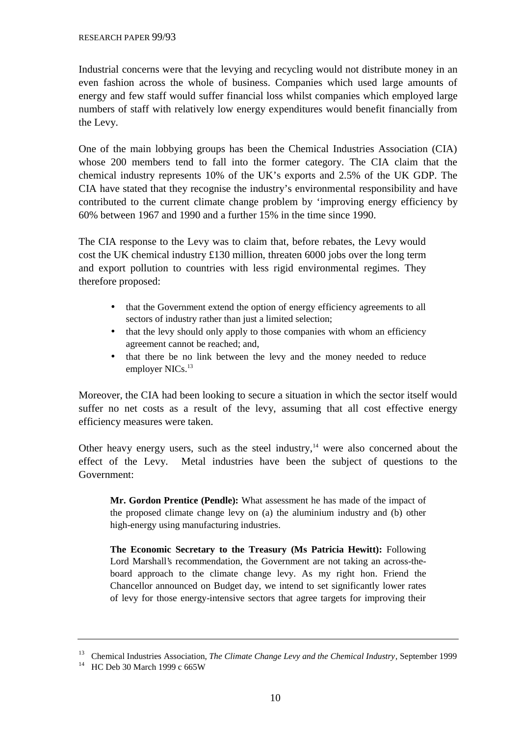Industrial concerns were that the levying and recycling would not distribute money in an even fashion across the whole of business. Companies which used large amounts of energy and few staff would suffer financial loss whilst companies which employed large numbers of staff with relatively low energy expenditures would benefit financially from the Levy.

One of the main lobbying groups has been the Chemical Industries Association (CIA) whose 200 members tend to fall into the former category. The CIA claim that the chemical industry represents 10% of the UK's exports and 2.5% of the UK GDP. The CIA have stated that they recognise the industry's environmental responsibility and have contributed to the current climate change problem by 'improving energy efficiency by 60% between 1967 and 1990 and a further 15% in the time since 1990.

The CIA response to the Levy was to claim that, before rebates, the Levy would cost the UK chemical industry £130 million, threaten 6000 jobs over the long term and export pollution to countries with less rigid environmental regimes. They therefore proposed:

- that the Government extend the option of energy efficiency agreements to all sectors of industry rather than just a limited selection;
- that the levy should only apply to those companies with whom an efficiency agreement cannot be reached; and,
- that there be no link between the levy and the money needed to reduce employer NICs.<sup>13</sup>

Moreover, the CIA had been looking to secure a situation in which the sector itself would suffer no net costs as a result of the levy, assuming that all cost effective energy efficiency measures were taken.

Other heavy energy users, such as the steel industry,  $14$  were also concerned about the effect of the Levy. Metal industries have been the subject of questions to the Government:

**Mr. Gordon Prentice (Pendle):** What assessment he has made of the impact of the proposed climate change levy on (a) the aluminium industry and (b) other high-energy using manufacturing industries.

**The Economic Secretary to the Treasury (Ms Patricia Hewitt):** Following Lord Marshall's recommendation, the Government are not taking an across-theboard approach to the climate change levy. As my right hon. Friend the Chancellor announced on Budget day, we intend to set significantly lower rates of levy for those energy-intensive sectors that agree targets for improving their

<sup>13</sup> Chemical Industries Association, *The Climate Change Levy and the Chemical Industry*, September 1999

<sup>&</sup>lt;sup>14</sup> HC Deb 30 March 1999 c 665W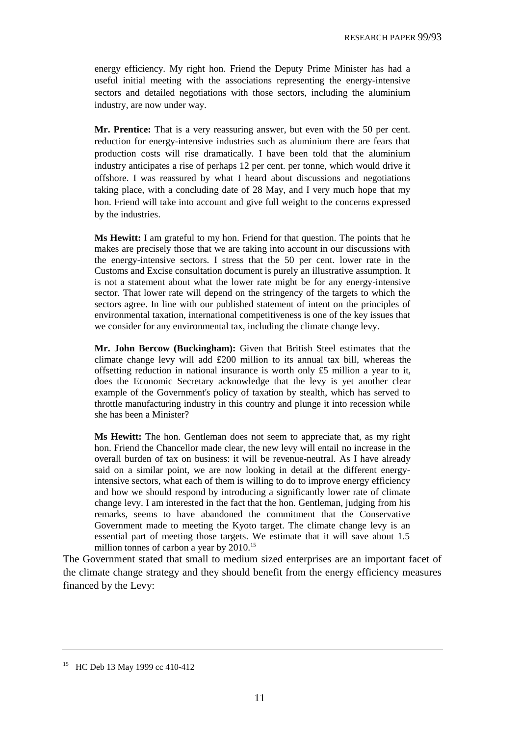energy efficiency. My right hon. Friend the Deputy Prime Minister has had a useful initial meeting with the associations representing the energy-intensive sectors and detailed negotiations with those sectors, including the aluminium industry, are now under way.

**Mr. Prentice:** That is a very reassuring answer, but even with the 50 per cent. reduction for energy-intensive industries such as aluminium there are fears that production costs will rise dramatically. I have been told that the aluminium industry anticipates a rise of perhaps 12 per cent. per tonne, which would drive it offshore. I was reassured by what I heard about discussions and negotiations taking place, with a concluding date of 28 May, and I very much hope that my hon. Friend will take into account and give full weight to the concerns expressed by the industries.

**Ms Hewitt:** I am grateful to my hon. Friend for that question. The points that he makes are precisely those that we are taking into account in our discussions with the energy-intensive sectors. I stress that the 50 per cent. lower rate in the Customs and Excise consultation document is purely an illustrative assumption. It is not a statement about what the lower rate might be for any energy-intensive sector. That lower rate will depend on the stringency of the targets to which the sectors agree. In line with our published statement of intent on the principles of environmental taxation, international competitiveness is one of the key issues that we consider for any environmental tax, including the climate change levy.

**Mr. John Bercow (Buckingham):** Given that British Steel estimates that the climate change levy will add £200 million to its annual tax bill, whereas the offsetting reduction in national insurance is worth only £5 million a year to it, does the Economic Secretary acknowledge that the levy is yet another clear example of the Government's policy of taxation by stealth, which has served to throttle manufacturing industry in this country and plunge it into recession while she has been a Minister?

**Ms Hewitt:** The hon. Gentleman does not seem to appreciate that, as my right hon. Friend the Chancellor made clear, the new levy will entail no increase in the overall burden of tax on business: it will be revenue-neutral. As I have already said on a similar point, we are now looking in detail at the different energyintensive sectors, what each of them is willing to do to improve energy efficiency and how we should respond by introducing a significantly lower rate of climate change levy. I am interested in the fact that the hon. Gentleman, judging from his remarks, seems to have abandoned the commitment that the Conservative Government made to meeting the Kyoto target. The climate change levy is an essential part of meeting those targets. We estimate that it will save about 1.5 million tonnes of carbon a year by 2010.<sup>15</sup>

The Government stated that small to medium sized enterprises are an important facet of the climate change strategy and they should benefit from the energy efficiency measures financed by the Levy:

<sup>15</sup> HC Deb 13 May 1999 cc 410-412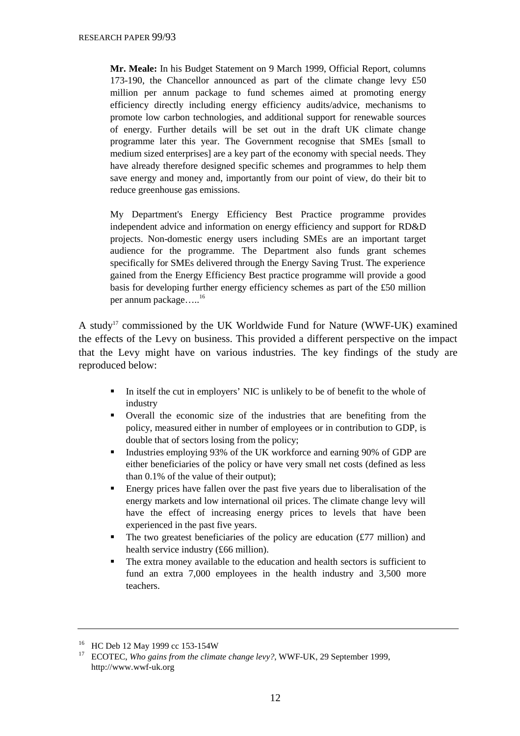**Mr. Meale:** In his Budget Statement on 9 March 1999, Official Report, columns 173-190, the Chancellor announced as part of the climate change levy £50 million per annum package to fund schemes aimed at promoting energy efficiency directly including energy efficiency audits/advice, mechanisms to promote low carbon technologies, and additional support for renewable sources of energy. Further details will be set out in the draft UK climate change programme later this year. The Government recognise that SMEs [small to medium sized enterprises] are a key part of the economy with special needs. They have already therefore designed specific schemes and programmes to help them save energy and money and, importantly from our point of view, do their bit to reduce greenhouse gas emissions.

My Department's Energy Efficiency Best Practice programme provides independent advice and information on energy efficiency and support for RD&D projects. Non-domestic energy users including SMEs are an important target audience for the programme. The Department also funds grant schemes specifically for SMEs delivered through the Energy Saving Trust. The experience gained from the Energy Efficiency Best practice programme will provide a good basis for developing further energy efficiency schemes as part of the £50 million per annum package.....<sup>16</sup>

A study<sup>17</sup> commissioned by the UK Worldwide Fund for Nature (WWF-UK) examined the effects of the Levy on business. This provided a different perspective on the impact that the Levy might have on various industries. The key findings of the study are reproduced below:

- In itself the cut in employers' NIC is unlikely to be of benefit to the whole of industry
- Overall the economic size of the industries that are benefiting from the policy, measured either in number of employees or in contribution to GDP, is double that of sectors losing from the policy;
- Industries employing 93% of the UK workforce and earning 90% of GDP are either beneficiaries of the policy or have very small net costs (defined as less than 0.1% of the value of their output);
- Energy prices have fallen over the past five years due to liberalisation of the energy markets and low international oil prices. The climate change levy will have the effect of increasing energy prices to levels that have been experienced in the past five years.
- The two greatest beneficiaries of the policy are education  $(£77$  million) and health service industry (£66 million).
- The extra money available to the education and health sectors is sufficient to fund an extra 7,000 employees in the health industry and 3,500 more teachers.

<sup>&</sup>lt;sup>16</sup> HC Deb 12 May 1999 cc 153-154W

<sup>&</sup>lt;sup>17</sup> ECOTEC, *Who gains from the climate change levy?*, WWF-UK, 29 September 1999, http://www.wwf-uk.org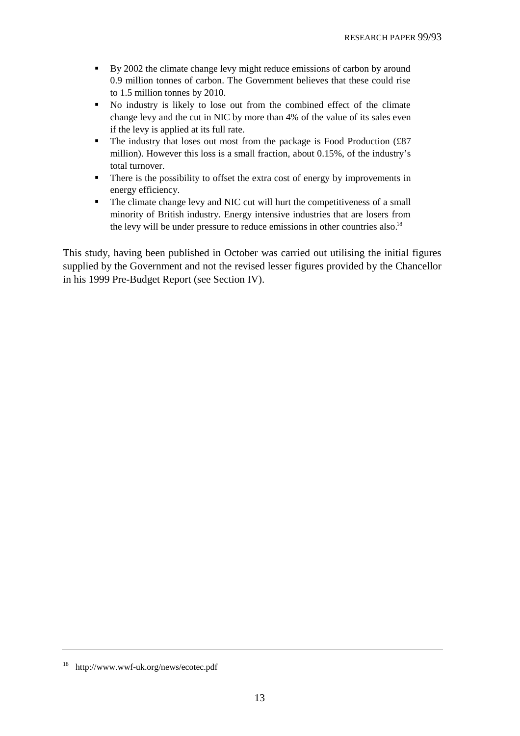- By 2002 the climate change levy might reduce emissions of carbon by around 0.9 million tonnes of carbon. The Government believes that these could rise to 1.5 million tonnes by 2010.
- No industry is likely to lose out from the combined effect of the climate change levy and the cut in NIC by more than 4% of the value of its sales even if the levy is applied at its full rate.
- The industry that loses out most from the package is Food Production  $f87$ million). However this loss is a small fraction, about 0.15%, of the industry's total turnover.
- There is the possibility to offset the extra cost of energy by improvements in energy efficiency.
- The climate change levy and NIC cut will hurt the competitiveness of a small minority of British industry. Energy intensive industries that are losers from the levy will be under pressure to reduce emissions in other countries also.<sup>18</sup>

This study, having been published in October was carried out utilising the initial figures supplied by the Government and not the revised lesser figures provided by the Chancellor in his 1999 Pre-Budget Report (see Section IV).

<sup>18</sup> http://www.wwf-uk.org/news/ecotec.pdf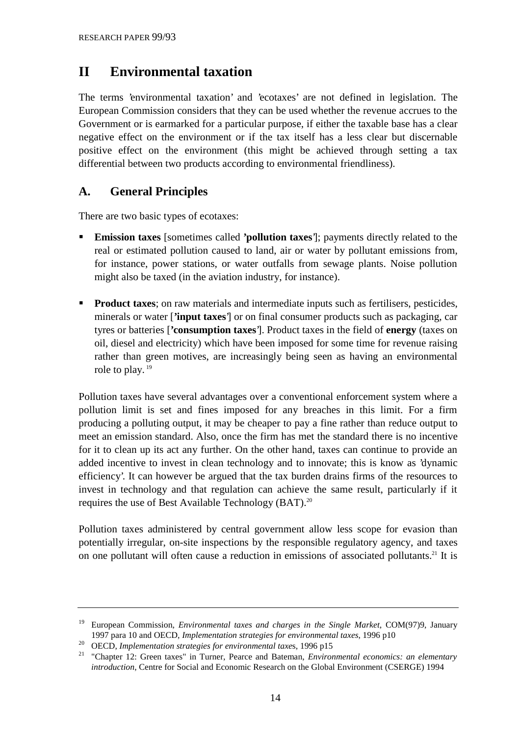# **II Environmental taxation**

The terms 'environmental taxation' and 'ecotaxes' are not defined in legislation. The European Commission considers that they can be used whether the revenue accrues to the Government or is earmarked for a particular purpose, if either the taxable base has a clear negative effect on the environment or if the tax itself has a less clear but discernable positive effect on the environment (this might be achieved through setting a tax differential between two products according to environmental friendliness).

# **A. General Principles**

There are two basic types of ecotaxes:

- **Emission taxes** [sometimes called **'pollution taxes**']; payments directly related to the real or estimated pollution caused to land, air or water by pollutant emissions from, for instance, power stations, or water outfalls from sewage plants. Noise pollution might also be taxed (in the aviation industry, for instance).
- **Product taxes**; on raw materials and intermediate inputs such as fertilisers, pesticides, minerals or water [**'input taxes**'] or on final consumer products such as packaging, car tyres or batteries [**'consumption taxes**']. Product taxes in the field of **energy** (taxes on oil, diesel and electricity) which have been imposed for some time for revenue raising rather than green motives, are increasingly being seen as having an environmental role to play.<sup>19</sup>

Pollution taxes have several advantages over a conventional enforcement system where a pollution limit is set and fines imposed for any breaches in this limit. For a firm producing a polluting output, it may be cheaper to pay a fine rather than reduce output to meet an emission standard. Also, once the firm has met the standard there is no incentive for it to clean up its act any further. On the other hand, taxes can continue to provide an added incentive to invest in clean technology and to innovate; this is know as 'dynamic efficiency'. It can however be argued that the tax burden drains firms of the resources to invest in technology and that regulation can achieve the same result, particularly if it requires the use of Best Available Technology (BAT).<sup>20</sup>

Pollution taxes administered by central government allow less scope for evasion than potentially irregular, on-site inspections by the responsible regulatory agency, and taxes on one pollutant will often cause a reduction in emissions of associated pollutants.<sup>21</sup> It is

<sup>19</sup> European Commission, *Environmental taxes and charges in the Single Market*, COM(97)9, January 1997 para 10 and OECD, *Implementation strategies for environmental taxes*, 1996 p10

<sup>20</sup> OECD, *Implementation strategies for environmental taxe*s, 1996 p15

<sup>21 &</sup>quot;Chapter 12: Green taxes" in Turner, Pearce and Bateman, *Environmental economics: an elementary introduction*, Centre for Social and Economic Research on the Global Environment (CSERGE) 1994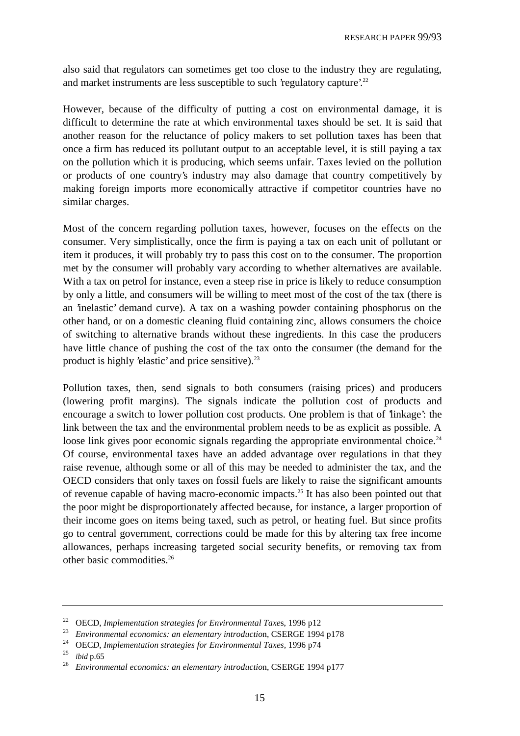also said that regulators can sometimes get too close to the industry they are regulating, and market instruments are less susceptible to such 'regulatory capture'.<sup>22</sup>

However, because of the difficulty of putting a cost on environmental damage, it is difficult to determine the rate at which environmental taxes should be set. It is said that another reason for the reluctance of policy makers to set pollution taxes has been that once a firm has reduced its pollutant output to an acceptable level, it is still paying a tax on the pollution which it is producing, which seems unfair. Taxes levied on the pollution or products of one country's industry may also damage that country competitively by making foreign imports more economically attractive if competitor countries have no similar charges.

Most of the concern regarding pollution taxes, however, focuses on the effects on the consumer. Very simplistically, once the firm is paying a tax on each unit of pollutant or item it produces, it will probably try to pass this cost on to the consumer. The proportion met by the consumer will probably vary according to whether alternatives are available. With a tax on petrol for instance, even a steep rise in price is likely to reduce consumption by only a little, and consumers will be willing to meet most of the cost of the tax (there is an 'inelastic' demand curve). A tax on a washing powder containing phosphorus on the other hand, or on a domestic cleaning fluid containing zinc, allows consumers the choice of switching to alternative brands without these ingredients. In this case the producers have little chance of pushing the cost of the tax onto the consumer (the demand for the product is highly 'elastic' and price sensitive). $^{23}$ 

Pollution taxes, then, send signals to both consumers (raising prices) and producers (lowering profit margins). The signals indicate the pollution cost of products and encourage a switch to lower pollution cost products. One problem is that of 'linkage': the link between the tax and the environmental problem needs to be as explicit as possible. A loose link gives poor economic signals regarding the appropriate environmental choice.<sup>24</sup> Of course, environmental taxes have an added advantage over regulations in that they raise revenue, although some or all of this may be needed to administer the tax, and the OECD considers that only taxes on fossil fuels are likely to raise the significant amounts of revenue capable of having macro-economic impacts.25 It has also been pointed out that the poor might be disproportionately affected because, for instance, a larger proportion of their income goes on items being taxed, such as petrol, or heating fuel. But since profits go to central government, corrections could be made for this by altering tax free income allowances, perhaps increasing targeted social security benefits, or removing tax from other basic commodities.26

<sup>22</sup> OECD, *Implementation strategies for Environmental Taxe*s, 1996 p12

<sup>&</sup>lt;sup>23</sup> *Environmental economics: an elementary introduction, CSERGE 1994 p178* 

<sup>&</sup>lt;sup>24</sup> OEC*D, Implementation strategies for Environmental Taxes,* 1996 p74

<sup>25</sup> *ibid* p.65

<sup>26</sup> *Environmental economics: an elementary introductio*n, CSERGE 1994 p177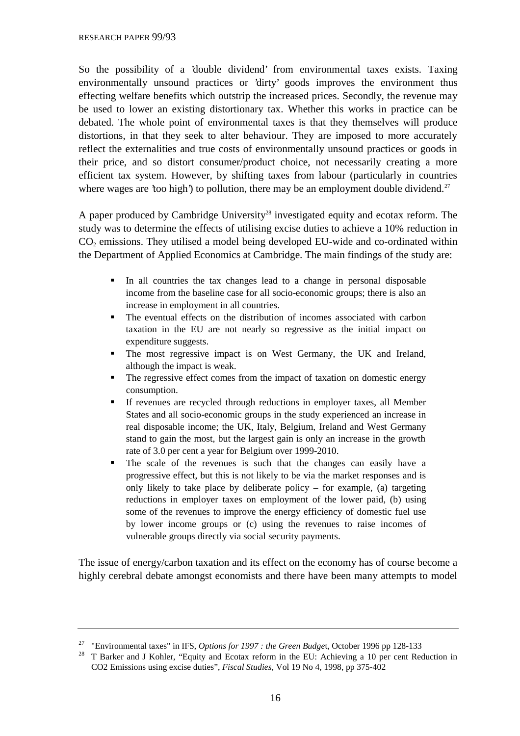So the possibility of a 'double dividend' from environmental taxes exists. Taxing environmentally unsound practices or 'dirty' goods improves the environment thus effecting welfare benefits which outstrip the increased prices. Secondly, the revenue may be used to lower an existing distortionary tax. Whether this works in practice can be debated. The whole point of environmental taxes is that they themselves will produce distortions, in that they seek to alter behaviour. They are imposed to more accurately reflect the externalities and true costs of environmentally unsound practices or goods in their price, and so distort consumer/product choice, not necessarily creating a more efficient tax system. However, by shifting taxes from labour (particularly in countries where wages are 'too high') to pollution, there may be an employment double dividend.<sup>27</sup>

A paper produced by Cambridge University<sup>28</sup> investigated equity and ecotax reform. The study was to determine the effects of utilising excise duties to achieve a 10% reduction in  $CO<sub>2</sub>$  emissions. They utilised a model being developed EU-wide and co-ordinated within the Department of Applied Economics at Cambridge. The main findings of the study are:

- In all countries the tax changes lead to a change in personal disposable income from the baseline case for all socio-economic groups; there is also an increase in employment in all countries.
- The eventual effects on the distribution of incomes associated with carbon taxation in the EU are not nearly so regressive as the initial impact on expenditure suggests.
- The most regressive impact is on West Germany, the UK and Ireland, although the impact is weak.
- The regressive effect comes from the impact of taxation on domestic energy consumption.
- If revenues are recycled through reductions in employer taxes, all Member States and all socio-economic groups in the study experienced an increase in real disposable income; the UK, Italy, Belgium, Ireland and West Germany stand to gain the most, but the largest gain is only an increase in the growth rate of 3.0 per cent a year for Belgium over 1999-2010.
- The scale of the revenues is such that the changes can easily have a progressive effect, but this is not likely to be via the market responses and is only likely to take place by deliberate policy – for example, (a) targeting reductions in employer taxes on employment of the lower paid, (b) using some of the revenues to improve the energy efficiency of domestic fuel use by lower income groups or (c) using the revenues to raise incomes of vulnerable groups directly via social security payments.

The issue of energy/carbon taxation and its effect on the economy has of course become a highly cerebral debate amongst economists and there have been many attempts to model

<sup>27</sup> "Environmental taxes" in IFS, *Options for 1997 : the Green Budge*t, October 1996 pp 128-133

<sup>&</sup>lt;sup>28</sup> T Barker and J Kohler, "Equity and Ecotax reform in the EU: Achieving a 10 per cent Reduction in CO2 Emissions using excise duties", *Fiscal Studies*, Vol 19 No 4, 1998, pp 375-402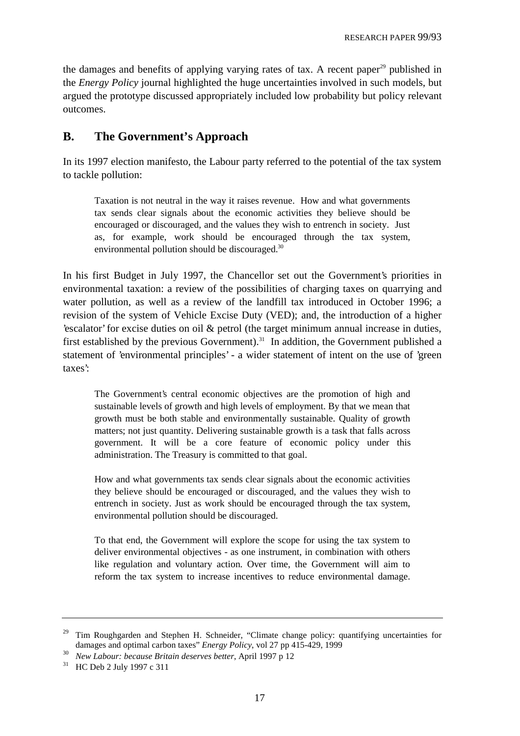the damages and benefits of applying varying rates of tax. A recent paper<sup>29</sup> published in the *Energy Policy* journal highlighted the huge uncertainties involved in such models, but argued the prototype discussed appropriately included low probability but policy relevant outcomes.

# **B. The Government's Approach**

In its 1997 election manifesto, the Labour party referred to the potential of the tax system to tackle pollution:

Taxation is not neutral in the way it raises revenue. How and what governments tax sends clear signals about the economic activities they believe should be encouraged or discouraged, and the values they wish to entrench in society. Just as, for example, work should be encouraged through the tax system, environmental pollution should be discouraged.<sup>30</sup>

In his first Budget in July 1997, the Chancellor set out the Government's priorities in environmental taxation: a review of the possibilities of charging taxes on quarrying and water pollution, as well as a review of the landfill tax introduced in October 1996; a revision of the system of Vehicle Excise Duty (VED); and, the introduction of a higher 'escalator' for excise duties on oil & petrol (the target minimum annual increase in duties, first established by the previous Government).<sup>31</sup> In addition, the Government published a statement of 'environmental principles' - a wider statement of intent on the use of 'green taxes':

The Government's central economic objectives are the promotion of high and sustainable levels of growth and high levels of employment. By that we mean that growth must be both stable and environmentally sustainable. Quality of growth matters; not just quantity. Delivering sustainable growth is a task that falls across government. It will be a core feature of economic policy under this administration. The Treasury is committed to that goal.

How and what governments tax sends clear signals about the economic activities they believe should be encouraged or discouraged, and the values they wish to entrench in society. Just as work should be encouraged through the tax system, environmental pollution should be discouraged.

To that end, the Government will explore the scope for using the tax system to deliver environmental objectives - as one instrument, in combination with others like regulation and voluntary action. Over time, the Government will aim to reform the tax system to increase incentives to reduce environmental damage.

<sup>&</sup>lt;sup>29</sup> Tim Roughgarden and Stephen H. Schneider, "Climate change policy: quantifying uncertainties for damages and optimal carbon taxes" *Energy Policy*, vol 27 pp 415-429, 1999

<sup>30</sup> *New Labour: because Britain deserves better*, April 1997 p 12

<sup>31</sup> HC Deb 2 July 1997 c 311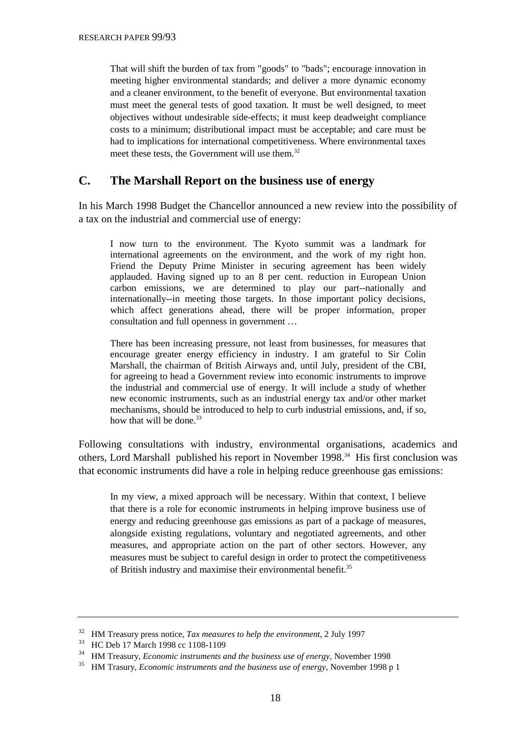That will shift the burden of tax from "goods" to "bads"; encourage innovation in meeting higher environmental standards; and deliver a more dynamic economy and a cleaner environment, to the benefit of everyone. But environmental taxation must meet the general tests of good taxation. It must be well designed, to meet objectives without undesirable side-effects; it must keep deadweight compliance costs to a minimum; distributional impact must be acceptable; and care must be had to implications for international competitiveness. Where environmental taxes meet these tests, the Government will use them.<sup>32</sup>

### **C. The Marshall Report on the business use of energy**

In his March 1998 Budget the Chancellor announced a new review into the possibility of a tax on the industrial and commercial use of energy:

I now turn to the environment. The Kyoto summit was a landmark for international agreements on the environment, and the work of my right hon. Friend the Deputy Prime Minister in securing agreement has been widely applauded. Having signed up to an 8 per cent. reduction in European Union carbon emissions, we are determined to play our part--nationally and internationally--in meeting those targets. In those important policy decisions, which affect generations ahead, there will be proper information, proper consultation and full openness in government …

There has been increasing pressure, not least from businesses, for measures that encourage greater energy efficiency in industry. I am grateful to Sir Colin Marshall, the chairman of British Airways and, until July, president of the CBI, for agreeing to head a Government review into economic instruments to improve the industrial and commercial use of energy. It will include a study of whether new economic instruments, such as an industrial energy tax and/or other market mechanisms, should be introduced to help to curb industrial emissions, and, if so, how that will be done. $33$ 

Following consultations with industry, environmental organisations, academics and others, Lord Marshall published his report in November 1998.34 His first conclusion was that economic instruments did have a role in helping reduce greenhouse gas emissions:

In my view, a mixed approach will be necessary. Within that context, I believe that there is a role for economic instruments in helping improve business use of energy and reducing greenhouse gas emissions as part of a package of measures, alongside existing regulations, voluntary and negotiated agreements, and other measures, and appropriate action on the part of other sectors. However, any measures must be subject to careful design in order to protect the competitiveness of British industry and maximise their environmental benefit.<sup>35</sup>

<sup>32</sup> HM Treasury press notice, *Tax measures to help the environment*, 2 July 1997

<sup>33</sup> HC Deb 17 March 1998 cc 1108-1109

<sup>34</sup> HM Treasury, *Economic instruments and the business use of energy,* November 1998

<sup>35</sup> HM Trasury, *Economic instruments and the business use of energy,* November 1998 p 1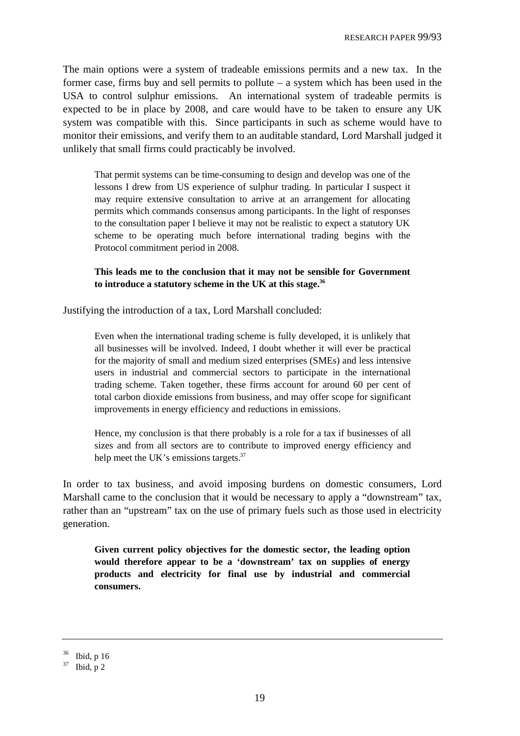The main options were a system of tradeable emissions permits and a new tax. In the former case, firms buy and sell permits to pollute – a system which has been used in the USA to control sulphur emissions. An international system of tradeable permits is expected to be in place by 2008, and care would have to be taken to ensure any UK system was compatible with this. Since participants in such as scheme would have to monitor their emissions, and verify them to an auditable standard, Lord Marshall judged it unlikely that small firms could practicably be involved.

That permit systems can be time-consuming to design and develop was one of the lessons I drew from US experience of sulphur trading. In particular I suspect it may require extensive consultation to arrive at an arrangement for allocating permits which commands consensus among participants. In the light of responses to the consultation paper I believe it may not be realistic to expect a statutory UK scheme to be operating much before international trading begins with the Protocol commitment period in 2008.

**This leads me to the conclusion that it may not be sensible for Government to introduce a statutory scheme in the UK at this stage.36**

Justifying the introduction of a tax, Lord Marshall concluded:

Even when the international trading scheme is fully developed, it is unlikely that all businesses will be involved. Indeed, I doubt whether it will ever be practical for the majority of small and medium sized enterprises (SMEs) and less intensive users in industrial and commercial sectors to participate in the international trading scheme. Taken together, these firms account for around 60 per cent of total carbon dioxide emissions from business, and may offer scope for significant improvements in energy efficiency and reductions in emissions.

Hence, my conclusion is that there probably is a role for a tax if businesses of all sizes and from all sectors are to contribute to improved energy efficiency and help meet the UK's emissions targets.<sup>37</sup>

In order to tax business, and avoid imposing burdens on domestic consumers, Lord Marshall came to the conclusion that it would be necessary to apply a "downstream" tax, rather than an "upstream" tax on the use of primary fuels such as those used in electricity generation.

**Given current policy objectives for the domestic sector, the leading option would therefore appear to be a 'downstream' tax on supplies of energy products and electricity for final use by industrial and commercial consumers.**

 $36$  Ibid, p 16

 $37$  Ibid, p 2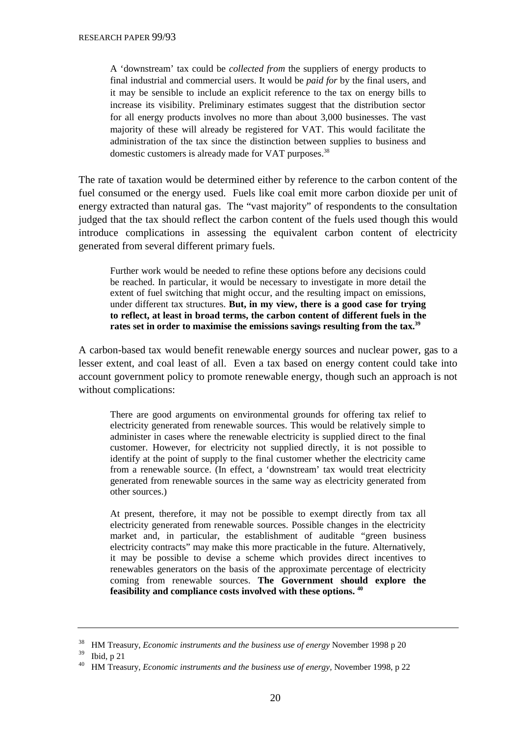A 'downstream' tax could be *collected from* the suppliers of energy products to final industrial and commercial users. It would be *paid for* by the final users, and it may be sensible to include an explicit reference to the tax on energy bills to increase its visibility. Preliminary estimates suggest that the distribution sector for all energy products involves no more than about 3,000 businesses. The vast majority of these will already be registered for VAT. This would facilitate the administration of the tax since the distinction between supplies to business and domestic customers is already made for VAT purposes.<sup>38</sup>

The rate of taxation would be determined either by reference to the carbon content of the fuel consumed or the energy used. Fuels like coal emit more carbon dioxide per unit of energy extracted than natural gas. The "vast majority" of respondents to the consultation judged that the tax should reflect the carbon content of the fuels used though this would introduce complications in assessing the equivalent carbon content of electricity generated from several different primary fuels.

Further work would be needed to refine these options before any decisions could be reached. In particular, it would be necessary to investigate in more detail the extent of fuel switching that might occur, and the resulting impact on emissions, under different tax structures. **But, in my view, there is a good case for trying to reflect, at least in broad terms, the carbon content of different fuels in the rates set in order to maximise the emissions savings resulting from the tax.39**

A carbon-based tax would benefit renewable energy sources and nuclear power, gas to a lesser extent, and coal least of all. Even a tax based on energy content could take into account government policy to promote renewable energy, though such an approach is not without complications:

There are good arguments on environmental grounds for offering tax relief to electricity generated from renewable sources. This would be relatively simple to administer in cases where the renewable electricity is supplied direct to the final customer. However, for electricity not supplied directly, it is not possible to identify at the point of supply to the final customer whether the electricity came from a renewable source. (In effect, a 'downstream' tax would treat electricity generated from renewable sources in the same way as electricity generated from other sources.)

At present, therefore, it may not be possible to exempt directly from tax all electricity generated from renewable sources. Possible changes in the electricity market and, in particular, the establishment of auditable "green business electricity contracts" may make this more practicable in the future. Alternatively, it may be possible to devise a scheme which provides direct incentives to renewables generators on the basis of the approximate percentage of electricity coming from renewable sources. **The Government should explore the feasibility and compliance costs involved with these options. 40**

<sup>&</sup>lt;sup>38</sup> HM Treasury, *Economic instruments and the business use of energy* November 1998 p 20<br><sup>39</sup> H i.1 - 21

Ibid,  $p$  21

<sup>40</sup> HM Treasury, *Economic instruments and the business use of energy,* November 1998, p 22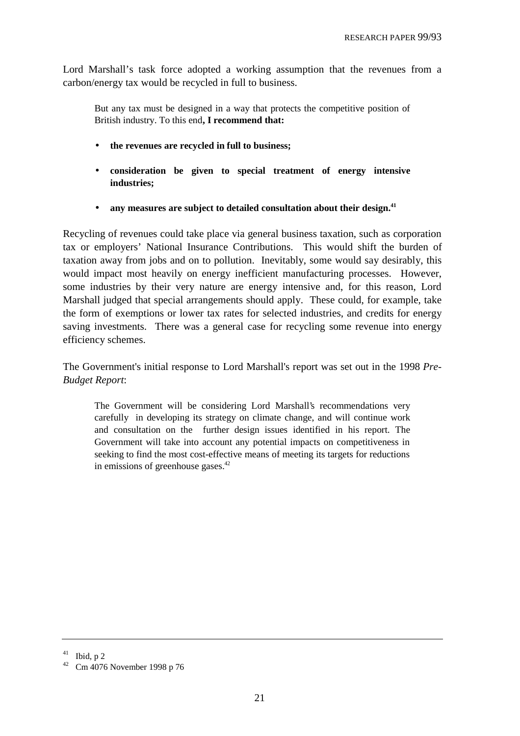Lord Marshall's task force adopted a working assumption that the revenues from a carbon/energy tax would be recycled in full to business.

But any tax must be designed in a way that protects the competitive position of British industry. To this end**, I recommend that:**

- **the revenues are recycled in full to business;**
- **consideration be given to special treatment of energy intensive industries;**
- any measures are subject to detailed consultation about their design.<sup>41</sup>

Recycling of revenues could take place via general business taxation, such as corporation tax or employers' National Insurance Contributions. This would shift the burden of taxation away from jobs and on to pollution. Inevitably, some would say desirably, this would impact most heavily on energy inefficient manufacturing processes. However, some industries by their very nature are energy intensive and, for this reason, Lord Marshall judged that special arrangements should apply. These could, for example, take the form of exemptions or lower tax rates for selected industries, and credits for energy saving investments. There was a general case for recycling some revenue into energy efficiency schemes.

The Government's initial response to Lord Marshall's report was set out in the 1998 *Pre-Budget Report*:

The Government will be considering Lord Marshall's recommendations very carefully in developing its strategy on climate change, and will continue work and consultation on the further design issues identified in his report. The Government will take into account any potential impacts on competitiveness in seeking to find the most cost-effective means of meeting its targets for reductions in emissions of greenhouse gases.<sup>42</sup>

 $41$  Ibid, p 2

<sup>42</sup> Cm 4076 November 1998 p 76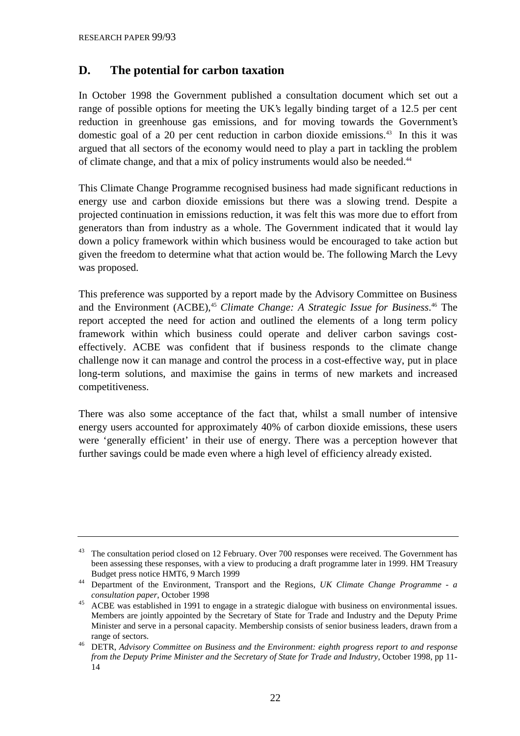# **D. The potential for carbon taxation**

In October 1998 the Government published a consultation document which set out a range of possible options for meeting the UK's legally binding target of a 12.5 per cent reduction in greenhouse gas emissions, and for moving towards the Government's domestic goal of a 20 per cent reduction in carbon dioxide emissions.<sup>43</sup> In this it was argued that all sectors of the economy would need to play a part in tackling the problem of climate change, and that a mix of policy instruments would also be needed.<sup>44</sup>

This Climate Change Programme recognised business had made significant reductions in energy use and carbon dioxide emissions but there was a slowing trend. Despite a projected continuation in emissions reduction, it was felt this was more due to effort from generators than from industry as a whole. The Government indicated that it would lay down a policy framework within which business would be encouraged to take action but given the freedom to determine what that action would be. The following March the Levy was proposed.

This preference was supported by a report made by the Advisory Committee on Business and the Environment (ACBE),<sup>45</sup> *Climate Change: A Strategic Issue for Business*.<sup>46</sup> The report accepted the need for action and outlined the elements of a long term policy framework within which business could operate and deliver carbon savings costeffectively. ACBE was confident that if business responds to the climate change challenge now it can manage and control the process in a cost-effective way, put in place long-term solutions, and maximise the gains in terms of new markets and increased competitiveness.

There was also some acceptance of the fact that, whilst a small number of intensive energy users accounted for approximately 40% of carbon dioxide emissions, these users were 'generally efficient' in their use of energy. There was a perception however that further savings could be made even where a high level of efficiency already existed.

<sup>&</sup>lt;sup>43</sup> The consultation period closed on 12 February. Over 700 responses were received. The Government has been assessing these responses, with a view to producing a draft programme later in 1999. HM Treasury Budget press notice HMT6, 9 March 1999

<sup>44</sup> Department of the Environment, Transport and the Regions, *UK Climate Change Programme - a consultation paper*, October 1998

<sup>&</sup>lt;sup>45</sup> ACBE was established in 1991 to engage in a strategic dialogue with business on environmental issues. Members are jointly appointed by the Secretary of State for Trade and Industry and the Deputy Prime Minister and serve in a personal capacity. Membership consists of senior business leaders, drawn from a range of sectors.

<sup>46</sup> DETR, *Advisory Committee on Business and the Environment: eighth progress report to and response from the Deputy Prime Minister and the Secretary of State for Trade and Industry*, October 1998, pp 11- 14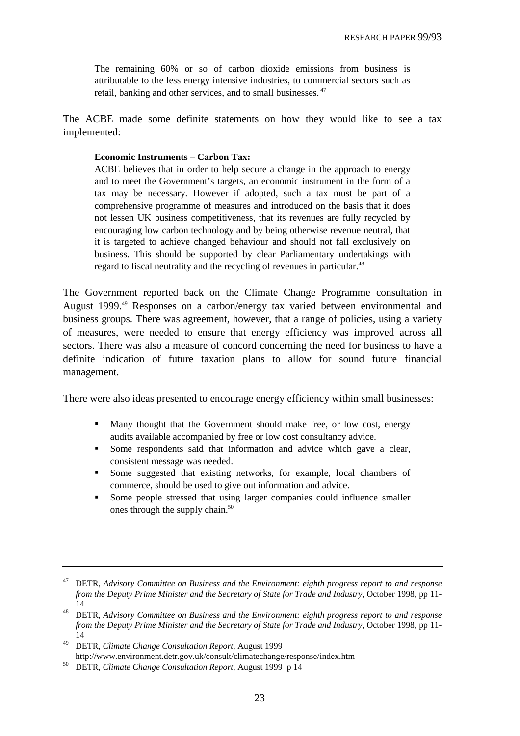The remaining 60% or so of carbon dioxide emissions from business is attributable to the less energy intensive industries, to commercial sectors such as retail, banking and other services, and to small businesses.<sup>47</sup>

The ACBE made some definite statements on how they would like to see a tax implemented:

#### **Economic Instruments – Carbon Tax:**

ACBE believes that in order to help secure a change in the approach to energy and to meet the Government's targets, an economic instrument in the form of a tax may be necessary. However if adopted, such a tax must be part of a comprehensive programme of measures and introduced on the basis that it does not lessen UK business competitiveness, that its revenues are fully recycled by encouraging low carbon technology and by being otherwise revenue neutral, that it is targeted to achieve changed behaviour and should not fall exclusively on business. This should be supported by clear Parliamentary undertakings with regard to fiscal neutrality and the recycling of revenues in particular.<sup>48</sup>

The Government reported back on the Climate Change Programme consultation in August 1999.<sup>49</sup> Responses on a carbon/energy tax varied between environmental and business groups. There was agreement, however, that a range of policies, using a variety of measures, were needed to ensure that energy efficiency was improved across all sectors. There was also a measure of concord concerning the need for business to have a definite indication of future taxation plans to allow for sound future financial management.

There were also ideas presented to encourage energy efficiency within small businesses:

- Many thought that the Government should make free, or low cost, energy audits available accompanied by free or low cost consultancy advice.
- Some respondents said that information and advice which gave a clear, consistent message was needed.
- Some suggested that existing networks, for example, local chambers of commerce, should be used to give out information and advice.
- Some people stressed that using larger companies could influence smaller ones through the supply chain.<sup>50</sup>

49 DETR, *Climate Change Consultation Report*, August 1999 http://www.environment.detr.gov.uk/consult/climatechange/response/index.htm

<sup>47</sup> DETR, *Advisory Committee on Business and the Environment: eighth progress report to and response from the Deputy Prime Minister and the Secretary of State for Trade and Industry*, October 1998, pp 11- 14

<sup>48</sup> DETR, *Advisory Committee on Business and the Environment: eighth progress report to and response from the Deputy Prime Minister and the Secretary of State for Trade and Industry*, October 1998, pp 11- 14

<sup>50</sup> DETR, *Climate Change Consultation Report*, August 1999 p 14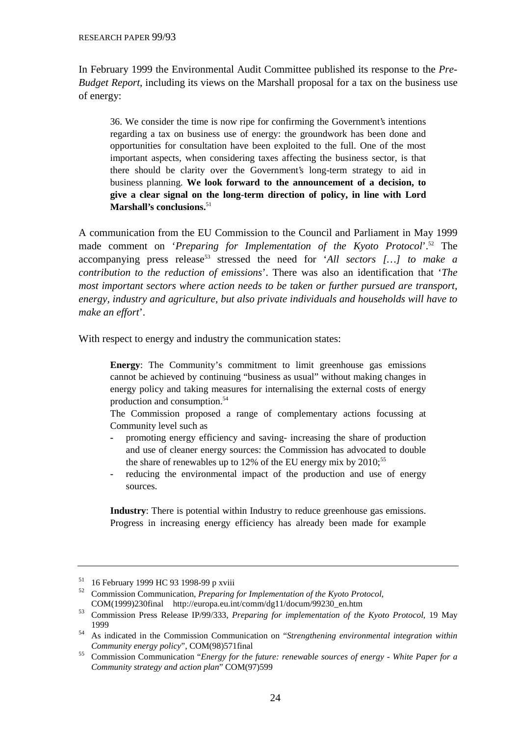In February 1999 the Environmental Audit Committee published its response to the *Pre-Budget Report*, including its views on the Marshall proposal for a tax on the business use of energy:

36. We consider the time is now ripe for confirming the Government's intentions regarding a tax on business use of energy: the groundwork has been done and opportunities for consultation have been exploited to the full. One of the most important aspects, when considering taxes affecting the business sector, is that there should be clarity over the Government's long-term strategy to aid in business planning. **We look forward to the announcement of a decision, to give a clear signal on the long-term direction of policy, in line with Lord Marshall's conclusions.**<sup>51</sup>

A communication from the EU Commission to the Council and Parliament in May 1999 made comment on '*Preparing for Implementation of the Kyoto Protocol*'.52 The accompanying press release<sup>53</sup> stressed the need for '*All sectors* [...] to make a *contribution to the reduction of emissions*'. There was also an identification that '*The most important sectors where action needs to be taken or further pursued are transport, energy, industry and agriculture, but also private individuals and households will have to make an effort*'.

With respect to energy and industry the communication states:

**Energy**: The Community's commitment to limit greenhouse gas emissions cannot be achieved by continuing "business as usual" without making changes in energy policy and taking measures for internalising the external costs of energy production and consumption.54

The Commission proposed a range of complementary actions focussing at Community level such as

- **-** promoting energy efficiency and saving- increasing the share of production and use of cleaner energy sources: the Commission has advocated to double the share of renewables up to 12% of the EU energy mix by  $2010$ ;<sup>55</sup>
- **-** reducing the environmental impact of the production and use of energy sources.

**Industry**: There is potential within Industry to reduce greenhouse gas emissions. Progress in increasing energy efficiency has already been made for example

<sup>&</sup>lt;sup>51</sup> 16 February 1999 HC 93 1998-99 p xviii

<sup>52</sup> Commission Communication, *Preparing for Implementation of the Kyoto Protocol*, COM(1999)230final http://europa.eu.int/comm/dg11/docum/99230\_en.htm

<sup>53</sup> Commission Press Release IP/99/333, *Preparing for implementation of the Kyoto Protocol*, 19 May 1999

<sup>54</sup> As indicated in the Commission Communication on "*Strengthening environmental integration within Community energy policy*", COM(98)571final

<sup>55</sup> Commission Communication "*[Energy for the future: renewable sources of ene](http://europa.eu.int/comm/dg11/docum/99230_en.htm)rgy - White Paper for a Community strategy and action plan*" COM(97)599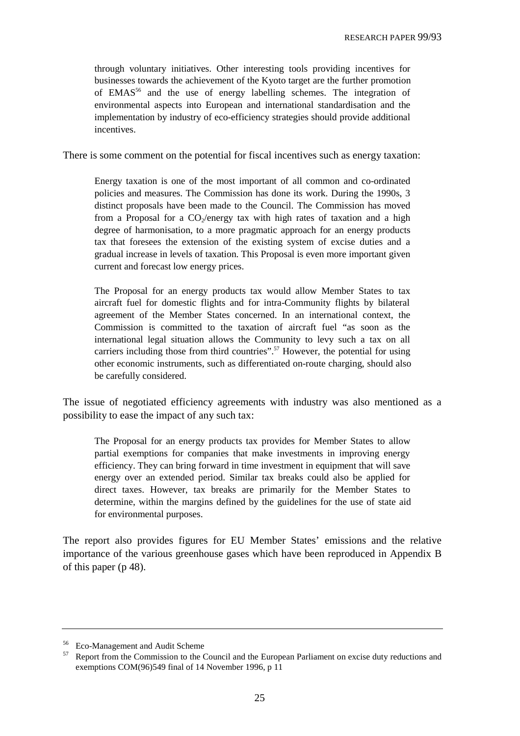through voluntary initiatives. Other interesting tools providing incentives for businesses towards the achievement of the Kyoto target are the further promotion of EMAS56 and the use of energy labelling schemes. The integration of environmental aspects into European and international standardisation and the implementation by industry of eco-efficiency strategies should provide additional incentives.

There is some comment on the potential for fiscal incentives such as energy taxation:

Energy taxation is one of the most important of all common and co-ordinated policies and measures. The Commission has done its work. During the 1990s, 3 distinct proposals have been made to the Council. The Commission has moved from a Proposal for a  $CO_2$ /energy tax with high rates of taxation and a high degree of harmonisation, to a more pragmatic approach for an energy products tax that foresees the extension of the existing system of excise duties and a gradual increase in levels of taxation. This Proposal is even more important given current and forecast low energy prices.

The Proposal for an energy products tax would allow Member States to tax aircraft fuel for domestic flights and for intra-Community flights by bilateral agreement of the Member States concerned. In an international context, the Commission is committed to the taxation of aircraft fuel "as soon as the international legal situation allows the Community to levy such a tax on all carriers including those from third countries".<sup>57</sup> However, the potential for using other economic instruments, such as differentiated on-route charging, should also be carefully considered.

The issue of negotiated efficiency agreements with industry was also mentioned as a possibility to ease the impact of any such tax:

The Proposal for an energy products tax provides for Member States to allow partial exemptions for companies that make investments in improving energy efficiency. They can bring forward in time investment in equipment that will save energy over an extended period. Similar tax breaks could also be applied for direct taxes. However, tax breaks are primarily for the Member States to determine, within the margins defined by the guidelines for the use of state aid for environmental purposes.

The report also provides figures for EU Member States' emissions and the relative importance of the various greenhouse gases which have been reproduced in Appendix B of this paper (p 48).

<sup>56</sup> Eco-Management and Audit Scheme

<sup>&</sup>lt;sup>57</sup> Report from the Commission to the Council and the European Parliament on excise duty reductions and exemptions COM(96)549 final of 14 November 1996, p 11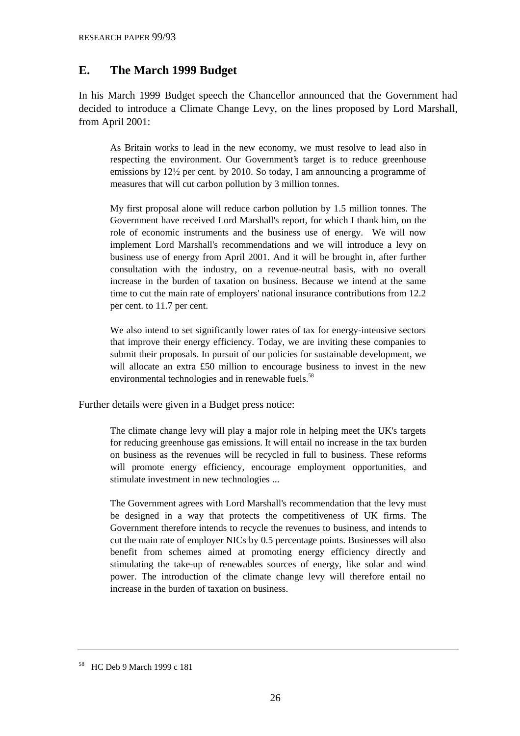# **E. The March 1999 Budget**

In his March 1999 Budget speech the Chancellor announced that the Government had decided to introduce a Climate Change Levy, on the lines proposed by Lord Marshall, from April 2001:

As Britain works to lead in the new economy, we must resolve to lead also in respecting the environment. Our Government's target is to reduce greenhouse emissions by 12½ per cent. by 2010. So today, I am announcing a programme of measures that will cut carbon pollution by 3 million tonnes.

My first proposal alone will reduce carbon pollution by 1.5 million tonnes. The Government have received Lord Marshall's report, for which I thank him, on the role of economic instruments and the business use of energy. We will now implement Lord Marshall's recommendations and we will introduce a levy on business use of energy from April 2001. And it will be brought in, after further consultation with the industry, on a revenue-neutral basis, with no overall increase in the burden of taxation on business. Because we intend at the same time to cut the main rate of employers' national insurance contributions from 12.2 per cent. to 11.7 per cent.

We also intend to set significantly lower rates of tax for energy-intensive sectors that improve their energy efficiency. Today, we are inviting these companies to submit their proposals. In pursuit of our policies for sustainable development, we will allocate an extra £50 million to encourage business to invest in the new environmental technologies and in renewable fuels.<sup>58</sup>

Further details were given in a Budget press notice:

The climate change levy will play a major role in helping meet the UK's targets for reducing greenhouse gas emissions. It will entail no increase in the tax burden on business as the revenues will be recycled in full to business. These reforms will promote energy efficiency, encourage employment opportunities, and stimulate investment in new technologies ...

The Government agrees with Lord Marshall's recommendation that the levy must be designed in a way that protects the competitiveness of UK firms. The Government therefore intends to recycle the revenues to business, and intends to cut the main rate of employer NICs by 0.5 percentage points. Businesses will also benefit from schemes aimed at promoting energy efficiency directly and stimulating the take-up of renewables sources of energy, like solar and wind power. The introduction of the climate change levy will therefore entail no increase in the burden of taxation on business.

<sup>58</sup> HC Deb 9 March 1999 c 181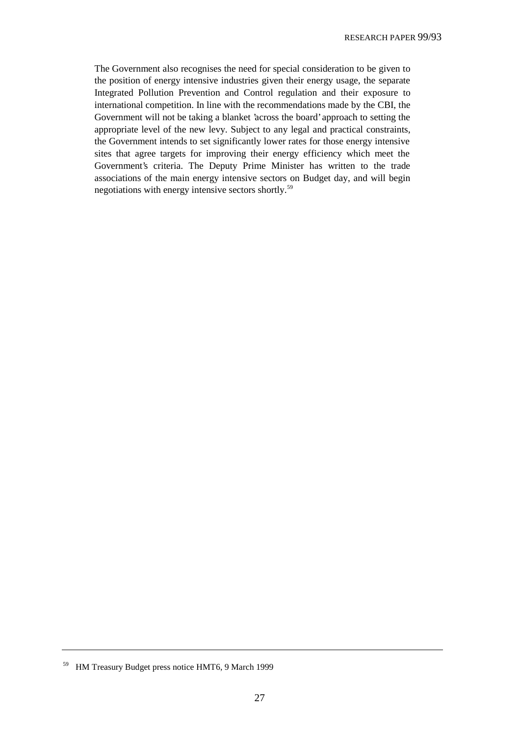The Government also recognises the need for special consideration to be given to the position of energy intensive industries given their energy usage, the separate Integrated Pollution Prevention and Control regulation and their exposure to international competition. In line with the recommendations made by the CBI, the Government will not be taking a blanket 'across the board' approach to setting the appropriate level of the new levy. Subject to any legal and practical constraints, the Government intends to set significantly lower rates for those energy intensive sites that agree targets for improving their energy efficiency which meet the Government's criteria. The Deputy Prime Minister has written to the trade associations of the main energy intensive sectors on Budget day, and will begin negotiations with energy intensive sectors shortly.59

<sup>59</sup> HM Treasury Budget press notice HMT6, 9 March 1999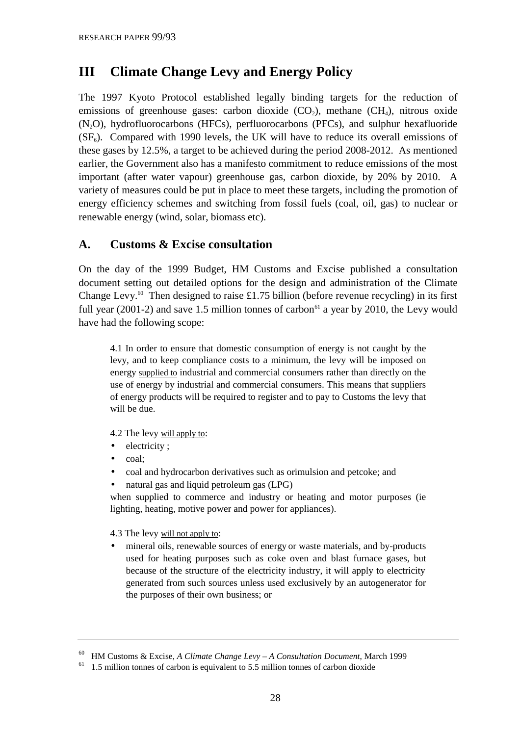# **III Climate Change Levy and Energy Policy**

The 1997 Kyoto Protocol established legally binding targets for the reduction of emissions of greenhouse gases: carbon dioxide  $(CO_2)$ , methane  $(CH_4)$ , nitrous oxide (N2O), hydrofluorocarbons (HFCs), perfluorocarbons (PFCs), and sulphur hexafluoride  $(SF<sub>6</sub>)$ . Compared with 1990 levels, the UK will have to reduce its overall emissions of these gases by 12.5%, a target to be achieved during the period 2008-2012. As mentioned earlier, the Government also has a manifesto commitment to reduce emissions of the most important (after water vapour) greenhouse gas, carbon dioxide, by 20% by 2010. A variety of measures could be put in place to meet these targets, including the promotion of energy efficiency schemes and switching from fossil fuels (coal, oil, gas) to nuclear or renewable energy (wind, solar, biomass etc).

### **A. Customs & Excise consultation**

On the day of the 1999 Budget, HM Customs and Excise published a consultation document setting out detailed options for the design and administration of the Climate Change Levy.<sup>60</sup> Then designed to raise £1.75 billion (before revenue recycling) in its first full year (2001-2) and save 1.5 million tonnes of carbon<sup>61</sup> a year by 2010, the Levy would have had the following scope:

4.1 In order to ensure that domestic consumption of energy is not caught by the levy, and to keep compliance costs to a minimum, the levy will be imposed on energy supplied to industrial and commercial consumers rather than directly on the use of energy by industrial and commercial consumers. This means that suppliers of energy products will be required to register and to pay to Customs the levy that will be due.

4.2 The levy will apply to:

- electricity;
- coal;
- coal and hydrocarbon derivatives such as orimulsion and petcoke; and
- natural gas and liquid petroleum gas (LPG)

when supplied to commerce and industry or heating and motor purposes (ie lighting, heating, motive power and power for appliances).

4.3 The levy will not apply to:

mineral oils, renewable sources of energy or waste materials, and by-products used for heating purposes such as coke oven and blast furnace gases, but because of the structure of the electricity industry, it will apply to electricity generated from such sources unless used exclusively by an autogenerator for the purposes of their own business; or

<sup>60</sup> HM Customs & Excise, *A Climate Change Levy – A Consultation Document*, March 1999

 $61$  1.5 million tonnes of carbon is equivalent to 5.5 million tonnes of carbon dioxide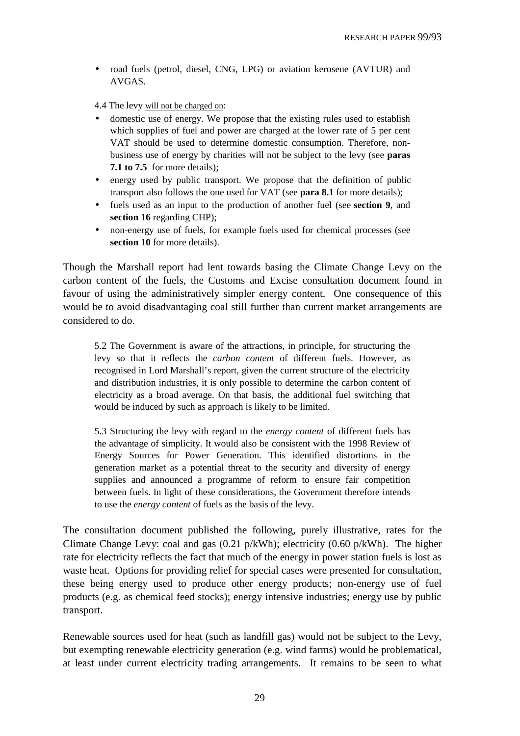• road fuels (petrol, diesel, CNG, LPG) or aviation kerosene (AVTUR) and AVGAS.

4.4 The levy will not be charged on:

- domestic use of energy. We propose that the existing rules used to establish which supplies of fuel and power are charged at the lower rate of 5 per cent VAT should be used to determine domestic consumption. Therefore, nonbusiness use of energy by charities will not be subject to the levy (see **paras 7.1 to 7.5** for more details);
- energy used by public transport. We propose that the definition of public transport also follows the one used for VAT (see **para 8.1** for more details);
- fuels used as an input to the production of another fuel (see **section 9**, and **section 16** regarding CHP);
- non-energy use of fuels, for example fuels used for chemical processes (see **section 10** for more details).

Though the Marshall report had lent towards basing the Climate Change Levy on the carbon content of the fuels, the Customs and Excise consultation document found in favour of using the administratively simpler energy content. One consequence of this would be to avoid disadvantaging coal still further than current market arrangements are considered to do.

5.2 The Government is aware of the attractions, in principle, for structuring the levy so that it reflects the *carbon content* of different fuels. However, as recognised in Lord Marshall's report, given the current structure of the electricity and distribution industries, it is only possible to determine the carbon content of electricity as a broad average. On that basis, the additional fuel switching that would be induced by such as approach is likely to be limited.

5.3 Structuring the levy with regard to the *energy content* of different fuels has the advantage of simplicity. It would also be consistent with the 1998 Review of Energy Sources for Power Generation. This identified distortions in the generation market as a potential threat to the security and diversity of energy supplies and announced a programme of reform to ensure fair competition between fuels. In light of these considerations, the Government therefore intends to use the *energy content* of fuels as the basis of the levy.

The consultation document published the following, purely illustrative, rates for the Climate Change Levy: coal and gas (0.21 p/kWh); electricity (0.60 p/kWh). The higher rate for electricity reflects the fact that much of the energy in power station fuels is lost as waste heat. Options for providing relief for special cases were presented for consultation, these being energy used to produce other energy products; non-energy use of fuel products (e.g. as chemical feed stocks); energy intensive industries; energy use by public transport.

Renewable sources used for heat (such as landfill gas) would not be subject to the Levy, but exempting renewable electricity generation (e.g. wind farms) would be problematical, at least under current electricity trading arrangements. It remains to be seen to what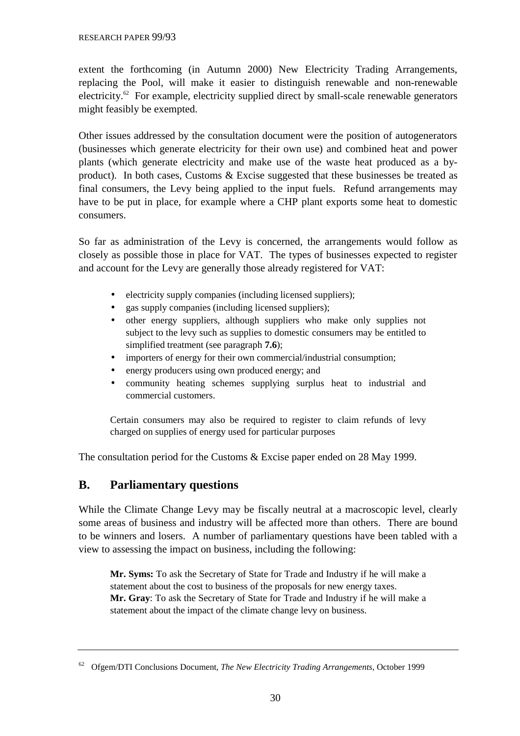extent the forthcoming (in Autumn 2000) New Electricity Trading Arrangements, replacing the Pool, will make it easier to distinguish renewable and non-renewable electricity.<sup>62</sup> For example, electricity supplied direct by small-scale renewable generators might feasibly be exempted.

Other issues addressed by the consultation document were the position of autogenerators (businesses which generate electricity for their own use) and combined heat and power plants (which generate electricity and make use of the waste heat produced as a byproduct). In both cases, Customs & Excise suggested that these businesses be treated as final consumers, the Levy being applied to the input fuels. Refund arrangements may have to be put in place, for example where a CHP plant exports some heat to domestic consumers.

So far as administration of the Levy is concerned, the arrangements would follow as closely as possible those in place for VAT. The types of businesses expected to register and account for the Levy are generally those already registered for VAT:

- electricity supply companies (including licensed suppliers);
- gas supply companies (including licensed suppliers);
- other energy suppliers, although suppliers who make only supplies not subject to the levy such as supplies to domestic consumers may be entitled to simplified treatment (see paragraph **7.6**);
- importers of energy for their own commercial/industrial consumption;
- energy producers using own produced energy; and
- community heating schemes supplying surplus heat to industrial and commercial customers.

Certain consumers may also be required to register to claim refunds of levy charged on supplies of energy used for particular purposes

The consultation period for the Customs & Excise paper ended on 28 May 1999.

#### **B. Parliamentary questions**

While the Climate Change Levy may be fiscally neutral at a macroscopic level, clearly some areas of business and industry will be affected more than others. There are bound to be winners and losers. A number of parliamentary questions have been tabled with a view to assessing the impact on business, including the following:

**Mr. Syms:** To ask the Secretary of State for Trade and Industry if he will make a statement about the cost to business of the proposals for new energy taxes. **Mr. Gray**: To ask the Secretary of State for Trade and Industry if he will make a statement about the impact of the climate change levy on business.

<sup>62</sup> Ofgem/DTI Conclusions Document, *The New Electricity Trading Arrangements*, October 1999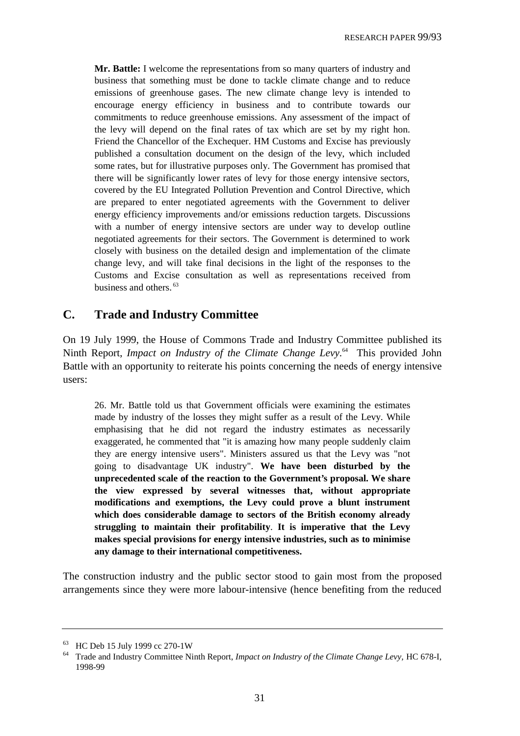**Mr. Battle:** I welcome the representations from so many quarters of industry and business that something must be done to tackle climate change and to reduce emissions of greenhouse gases. The new climate change levy is intended to encourage energy efficiency in business and to contribute towards our commitments to reduce greenhouse emissions. Any assessment of the impact of the levy will depend on the final rates of tax which are set by my right hon. Friend the Chancellor of the Exchequer. HM Customs and Excise has previously published a consultation document on the design of the levy, which included some rates, but for illustrative purposes only. The Government has promised that there will be significantly lower rates of levy for those energy intensive sectors, covered by the EU Integrated Pollution Prevention and Control Directive, which are prepared to enter negotiated agreements with the Government to deliver energy efficiency improvements and/or emissions reduction targets. Discussions with a number of energy intensive sectors are under way to develop outline negotiated agreements for their sectors. The Government is determined to work closely with business on the detailed design and implementation of the climate change levy, and will take final decisions in the light of the responses to the Customs and Excise consultation as well as representations received from business and others. 63

### **C. Trade and Industry Committee**

On 19 July 1999, the House of Commons Trade and Industry Committee published its Ninth Report, *Impact on Industry of the Climate Change Levy*. 64 This provided John Battle with an opportunity to reiterate his points concerning the needs of energy intensive users:

26. Mr. Battle told us that Government officials were examining the estimates made by industry of the losses they might suffer as a result of the Levy. While emphasising that he did not regard the industry estimates as necessarily exaggerated, he commented that "it is amazing how many people suddenly claim they are energy intensive users". Ministers assured us that the Levy was "not going to disadvantage UK industry". **We have been disturbed by the unprecedented scale of the reaction to the Government's proposal. We share the view expressed by several witnesses that, without appropriate modifications and exemptions, the Levy could prove a blunt instrument which does considerable damage to sectors of the British economy already struggling to maintain their profitability**. **It is imperative that the Levy makes special provisions for energy intensive industries, such as to minimise any damage to their international competitiveness.**

The construction industry and the public sector stood to gain most from the proposed arrangements since they were more labour-intensive (hence benefiting from the reduced

<sup>63</sup> HC Deb 15 July 1999 cc 270-1W

<sup>64</sup> Trade and Industry Committee Ninth Report, *Impact on Industry of the Climate Change Levy,* HC 678-I, 1998-99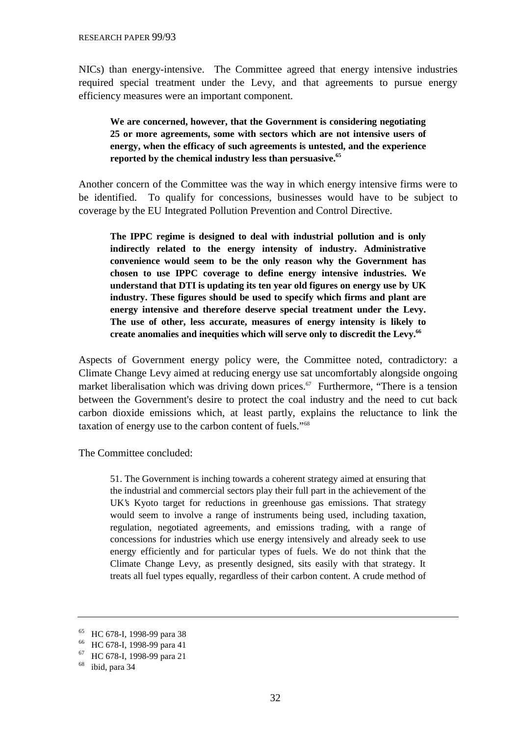NICs) than energy-intensive. The Committee agreed that energy intensive industries required special treatment under the Levy, and that agreements to pursue energy efficiency measures were an important component.

#### **We are concerned, however, that the Government is considering negotiating 25 or more agreements, some with sectors which are not intensive users of energy, when the efficacy of such agreements is untested, and the experience reported by the chemical industry less than persuasive.65**

Another concern of the Committee was the way in which energy intensive firms were to be identified. To qualify for concessions, businesses would have to be subject to coverage by the EU Integrated Pollution Prevention and Control Directive.

**The IPPC regime is designed to deal with industrial pollution and is only indirectly related to the energy intensity of industry. Administrative convenience would seem to be the only reason why the Government has chosen to use IPPC coverage to define energy intensive industries. We understand that DTI is updating its ten year old figures on energy use by UK industry. These figures should be used to specify which firms and plant are energy intensive and therefore deserve special treatment under the Levy. The use of other, less accurate, measures of energy intensity is likely to create anomalies and inequities which will serve only to discredit the Levy.66**

Aspects of Government energy policy were, the Committee noted, contradictory: a Climate Change Levy aimed at reducing energy use sat uncomfortably alongside ongoing market liberalisation which was driving down prices.<sup>67</sup> Furthermore, "There is a tension between the Government's desire to protect the coal industry and the need to cut back carbon dioxide emissions which, at least partly, explains the reluctance to link the taxation of energy use to the carbon content of fuels."68

The Committee concluded:

51. The Government is inching towards a coherent strategy aimed at ensuring that the industrial and commercial sectors play their full part in the achievement of the UK's Kyoto target for reductions in greenhouse gas emissions. That strategy would seem to involve a range of instruments being used, including taxation, regulation, negotiated agreements, and emissions trading, with a range of concessions for industries which use energy intensively and already seek to use energy efficiently and for particular types of fuels. We do not think that the Climate Change Levy, as presently designed, sits easily with that strategy. It treats all fuel types equally, regardless of their carbon content. A crude method of

<sup>65</sup> HC 678-I, 1998-99 para 38

<sup>66</sup> HC 678-I, 1998-99 para 41

<sup>67</sup> HC 678-I, 1998-99 para 21

<sup>68</sup> ibid, para 34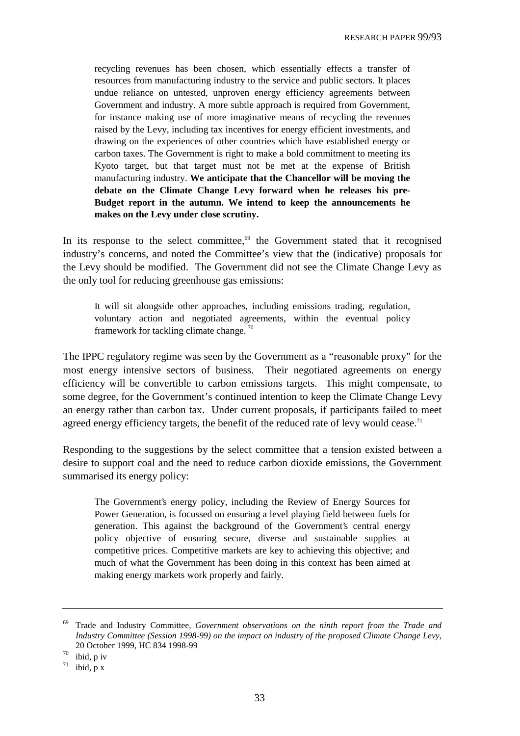recycling revenues has been chosen, which essentially effects a transfer of resources from manufacturing industry to the service and public sectors. It places undue reliance on untested, unproven energy efficiency agreements between Government and industry. A more subtle approach is required from Government, for instance making use of more imaginative means of recycling the revenues raised by the Levy, including tax incentives for energy efficient investments, and drawing on the experiences of other countries which have established energy or carbon taxes. The Government is right to make a bold commitment to meeting its Kyoto target, but that target must not be met at the expense of British manufacturing industry. **We anticipate that the Chancellor will be moving the debate on the Climate Change Levy forward when he releases his pre-Budget report in the autumn. We intend to keep the announcements he makes on the Levy under close scrutiny.**

In its response to the select committee, $69$  the Government stated that it recognised industry's concerns, and noted the Committee's view that the (indicative) proposals for the Levy should be modified. The Government did not see the Climate Change Levy as the only tool for reducing greenhouse gas emissions:

It will sit alongside other approaches, including emissions trading, regulation, voluntary action and negotiated agreements, within the eventual policy framework for tackling climate change. 70

The IPPC regulatory regime was seen by the Government as a "reasonable proxy" for the most energy intensive sectors of business. Their negotiated agreements on energy efficiency will be convertible to carbon emissions targets. This might compensate, to some degree, for the Government's continued intention to keep the Climate Change Levy an energy rather than carbon tax. Under current proposals, if participants failed to meet agreed energy efficiency targets, the benefit of the reduced rate of levy would cease.<sup>71</sup>

Responding to the suggestions by the select committee that a tension existed between a desire to support coal and the need to reduce carbon dioxide emissions, the Government summarised its energy policy:

The Government's energy policy, including the Review of Energy Sources for Power Generation, is focussed on ensuring a level playing field between fuels for generation. This against the background of the Government's central energy policy objective of ensuring secure, diverse and sustainable supplies at competitive prices. Competitive markets are key to achieving this objective; and much of what the Government has been doing in this context has been aimed at making energy markets work properly and fairly.

 $70$  ibid, p iv

<sup>69</sup> Trade and Industry Committee, *Government observations on the ninth report from the Trade and Industry Committee (Session 1998-99) on the impact on industry of the proposed Climate Change Levy*, 20 October 1999, HC 834 1998-99

 $71$  ibid, p x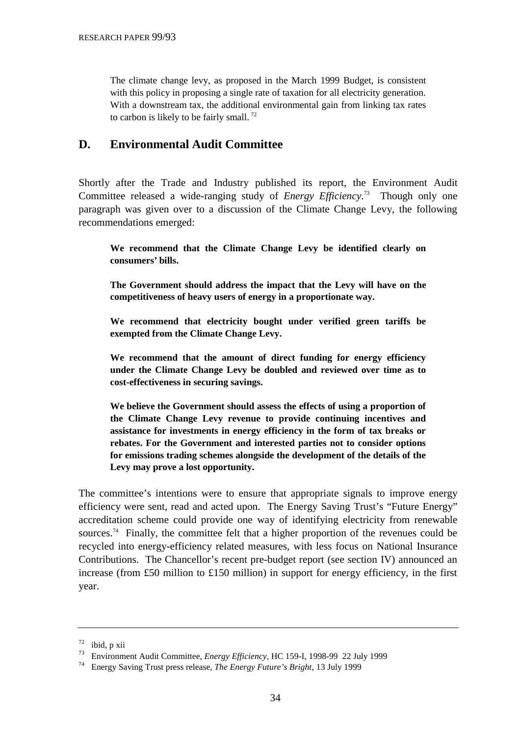The climate change levy, as proposed in the March 1999 Budget, is consistent with this policy in proposing a single rate of taxation for all electricity generation. With a downstream tax, the additional environmental gain from linking tax rates to carbon is likely to be fairly small.  $^{72}$ 

# **D. Environmental Audit Committee**

Shortly after the Trade and Industry published its report, the Environment Audit Committee released a wide-ranging study of *Energy Efficiency*. 73 Though only one paragraph was given over to a discussion of the Climate Change Levy, the following recommendations emerged:

**We recommend that the Climate Change Levy be identified clearly on consumers' bills.**

**The Government should address the impact that the Levy will have on the competitiveness of heavy users of energy in a proportionate way.**

**We recommend that electricity bought under verified green tariffs be exempted from the Climate Change Levy.**

**We recommend that the amount of direct funding for energy efficiency under the Climate Change Levy be doubled and reviewed over time as to cost-effectiveness in securing savings.**

**We believe the Government should assess the effects of using a proportion of the Climate Change Levy revenue to provide continuing incentives and assistance for investments in energy efficiency in the form of tax breaks or rebates. For the Government and interested parties not to consider options for emissions trading schemes alongside the development of the details of the Levy may prove a lost opportunity.**

The committee's intentions were to ensure that appropriate signals to improve energy efficiency were sent, read and acted upon. The Energy Saving Trust's "Future Energy" accreditation scheme could provide one way of identifying electricity from renewable sources.<sup>74</sup> Finally, the committee felt that a higher proportion of the revenues could be recycled into energy-efficiency related measures, with less focus on National Insurance Contributions. The Chancellor's recent pre-budget report (see section IV) announced an increase (from £50 million to £150 million) in support for energy efficiency, in the first year.

<sup>72</sup> ibid, p xii

<sup>73</sup> Environment Audit Committee, *Energy Efficiency,* HC 159-I, 1998-99 22 July 1999

<sup>74</sup> Energy Saving Trust press release, *The Energy Future's Bright*, 13 July 1999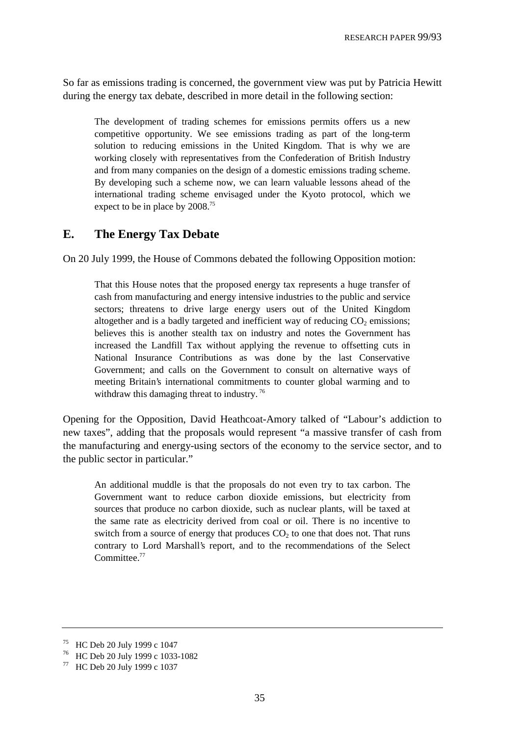So far as emissions trading is concerned, the government view was put by Patricia Hewitt during the energy tax debate, described in more detail in the following section:

The development of trading schemes for emissions permits offers us a new competitive opportunity. We see emissions trading as part of the long-term solution to reducing emissions in the United Kingdom. That is why we are working closely with representatives from the Confederation of British Industry and from many companies on the design of a domestic emissions trading scheme. By developing such a scheme now, we can learn valuable lessons ahead of the international trading scheme envisaged under the Kyoto protocol, which we expect to be in place by 2008.<sup>75</sup>

### **E. The Energy Tax Debate**

On 20 July 1999, the House of Commons debated the following Opposition motion:

That this House notes that the proposed energy tax represents a huge transfer of cash from manufacturing and energy intensive industries to the public and service sectors; threatens to drive large energy users out of the United Kingdom altogether and is a badly targeted and inefficient way of reducing  $CO<sub>2</sub>$  emissions; believes this is another stealth tax on industry and notes the Government has increased the Landfill Tax without applying the revenue to offsetting cuts in National Insurance Contributions as was done by the last Conservative Government; and calls on the Government to consult on alternative ways of meeting Britain's international commitments to counter global warming and to withdraw this damaging threat to industry.<sup>76</sup>

Opening for the Opposition, David Heathcoat-Amory talked of "Labour's addiction to new taxes", adding that the proposals would represent "a massive transfer of cash from the manufacturing and energy-using sectors of the economy to the service sector, and to the public sector in particular."

An additional muddle is that the proposals do not even try to tax carbon. The Government want to reduce carbon dioxide emissions, but electricity from sources that produce no carbon dioxide, such as nuclear plants, will be taxed at the same rate as electricity derived from coal or oil. There is no incentive to switch from a source of energy that produces  $CO<sub>2</sub>$  to one that does not. That runs contrary to Lord Marshall's report, and to the recommendations of the Select Committee.<sup>77</sup>

<sup>75</sup> HC Deb 20 July 1999 c 1047

<sup>76</sup> HC Deb 20 July 1999 c 1033-1082

<sup>77</sup> HC Deb 20 July 1999 c 1037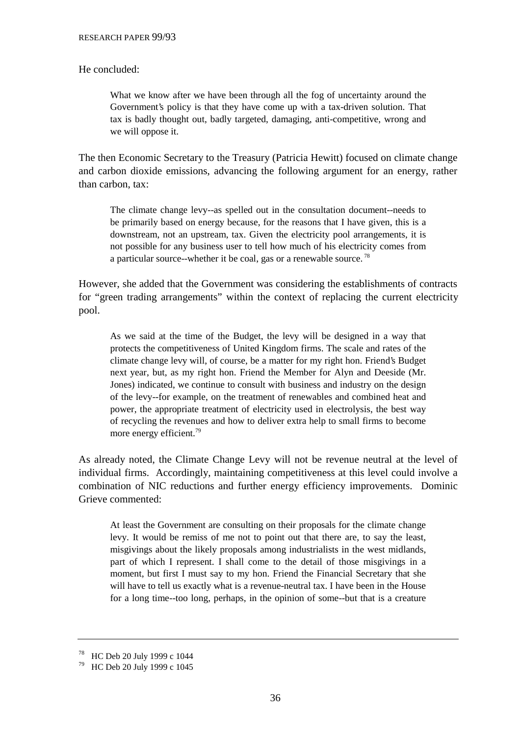#### He concluded:

What we know after we have been through all the fog of uncertainty around the Government's policy is that they have come up with a tax-driven solution. That tax is badly thought out, badly targeted, damaging, anti-competitive, wrong and we will oppose it.

The then Economic Secretary to the Treasury (Patricia Hewitt) focused on climate change and carbon dioxide emissions, advancing the following argument for an energy, rather than carbon, tax:

The climate change levy--as spelled out in the consultation document--needs to be primarily based on energy because, for the reasons that I have given, this is a downstream, not an upstream, tax. Given the electricity pool arrangements, it is not possible for any business user to tell how much of his electricity comes from a particular source--whether it be coal, gas or a renewable source. 78

However, she added that the Government was considering the establishments of contracts for "green trading arrangements" within the context of replacing the current electricity pool.

As we said at the time of the Budget, the levy will be designed in a way that protects the competitiveness of United Kingdom firms. The scale and rates of the climate change levy will, of course, be a matter for my right hon. Friend's Budget next year, but, as my right hon. Friend the Member for Alyn and Deeside (Mr. Jones) indicated, we continue to consult with business and industry on the design of the levy--for example, on the treatment of renewables and combined heat and power, the appropriate treatment of electricity used in electrolysis, the best way of recycling the revenues and how to deliver extra help to small firms to become more energy efficient.<sup>79</sup>

As already noted, the Climate Change Levy will not be revenue neutral at the level of individual firms. Accordingly, maintaining competitiveness at this level could involve a combination of NIC reductions and further energy efficiency improvements. Dominic Grieve commented:

At least the Government are consulting on their proposals for the climate change levy. It would be remiss of me not to point out that there are, to say the least, misgivings about the likely proposals among industrialists in the west midlands, part of which I represent. I shall come to the detail of those misgivings in a moment, but first I must say to my hon. Friend the Financial Secretary that she will have to tell us exactly what is a revenue-neutral tax. I have been in the House for a long time--too long, perhaps, in the opinion of some--but that is a creature

<sup>78</sup> HC Deb 20 July 1999 c 1044

<sup>79</sup> HC Deb 20 July 1999 c 1045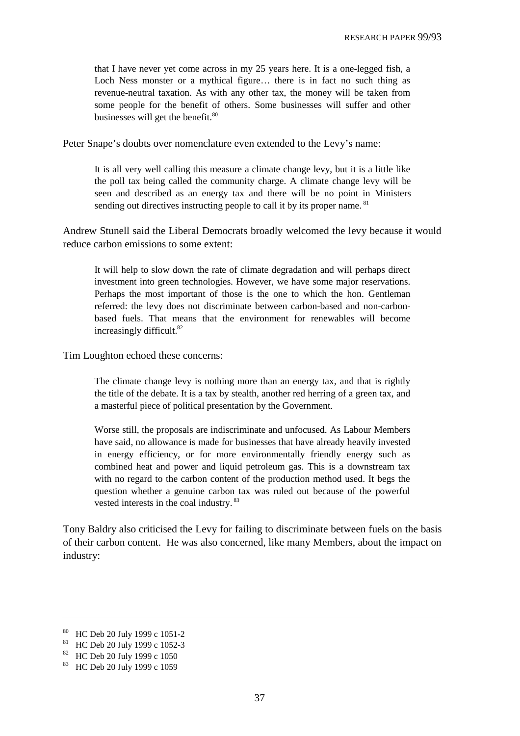that I have never yet come across in my 25 years here. It is a one-legged fish, a Loch Ness monster or a mythical figure... there is in fact no such thing as revenue-neutral taxation. As with any other tax, the money will be taken from some people for the benefit of others. Some businesses will suffer and other businesses will get the benefit.<sup>80</sup>

Peter Snape's doubts over nomenclature even extended to the Levy's name:

It is all very well calling this measure a climate change levy, but it is a little like the poll tax being called the community charge. A climate change levy will be seen and described as an energy tax and there will be no point in Ministers sending out directives instructing people to call it by its proper name. <sup>81</sup>

Andrew Stunell said the Liberal Democrats broadly welcomed the levy because it would reduce carbon emissions to some extent:

It will help to slow down the rate of climate degradation and will perhaps direct investment into green technologies. However, we have some major reservations. Perhaps the most important of those is the one to which the hon. Gentleman referred: the levy does not discriminate between carbon-based and non-carbonbased fuels. That means that the environment for renewables will become increasingly difficult.<sup>82</sup>

Tim Loughton echoed these concerns:

The climate change levy is nothing more than an energy tax, and that is rightly the title of the debate. It is a tax by stealth, another red herring of a green tax, and a masterful piece of political presentation by the Government.

Worse still, the proposals are indiscriminate and unfocused. As Labour Members have said, no allowance is made for businesses that have already heavily invested in energy efficiency, or for more environmentally friendly energy such as combined heat and power and liquid petroleum gas. This is a downstream tax with no regard to the carbon content of the production method used. It begs the question whether a genuine carbon tax was ruled out because of the powerful vested interests in the coal industry. 83

Tony Baldry also criticised the Levy for failing to discriminate between fuels on the basis of their carbon content. He was also concerned, like many Members, about the impact on industry:

<sup>80</sup> HC Deb 20 July 1999 c 1051-2

<sup>81</sup> HC Deb 20 July 1999 c 1052-3

<sup>82</sup> HC Deb 20 July 1999 c 1050

<sup>83</sup> HC Deb 20 July 1999 c 1059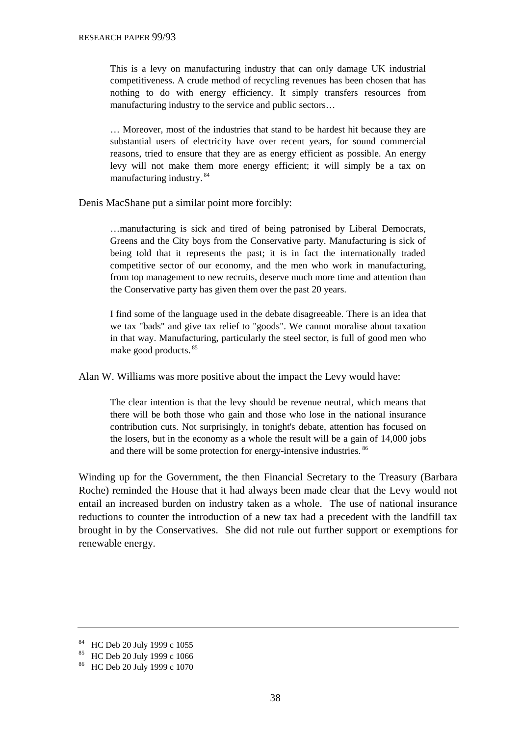This is a levy on manufacturing industry that can only damage UK industrial competitiveness. A crude method of recycling revenues has been chosen that has nothing to do with energy efficiency. It simply transfers resources from manufacturing industry to the service and public sectors…

… Moreover, most of the industries that stand to be hardest hit because they are substantial users of electricity have over recent years, for sound commercial reasons, tried to ensure that they are as energy efficient as possible. An energy levy will not make them more energy efficient; it will simply be a tax on manufacturing industry. 84

Denis MacShane put a similar point more forcibly:

…manufacturing is sick and tired of being patronised by Liberal Democrats, Greens and the City boys from the Conservative party. Manufacturing is sick of being told that it represents the past; it is in fact the internationally traded competitive sector of our economy, and the men who work in manufacturing, from top management to new recruits, deserve much more time and attention than the Conservative party has given them over the past 20 years.

I find some of the language used in the debate disagreeable. There is an idea that we tax "bads" and give tax relief to "goods". We cannot moralise about taxation in that way. Manufacturing, particularly the steel sector, is full of good men who make good products. 85

Alan W. Williams was more positive about the impact the Levy would have:

The clear intention is that the levy should be revenue neutral, which means that there will be both those who gain and those who lose in the national insurance contribution cuts. Not surprisingly, in tonight's debate, attention has focused on the losers, but in the economy as a whole the result will be a gain of 14,000 jobs and there will be some protection for energy-intensive industries. 86

Winding up for the Government, the then Financial Secretary to the Treasury (Barbara Roche) reminded the House that it had always been made clear that the Levy would not entail an increased burden on industry taken as a whole. The use of national insurance reductions to counter the introduction of a new tax had a precedent with the landfill tax brought in by the Conservatives. She did not rule out further support or exemptions for renewable energy.

<sup>84</sup> HC Deb 20 July 1999 c 1055

<sup>85</sup> HC Deb 20 July 1999 c 1066

<sup>86</sup> HC Deb 20 July 1999 c 1070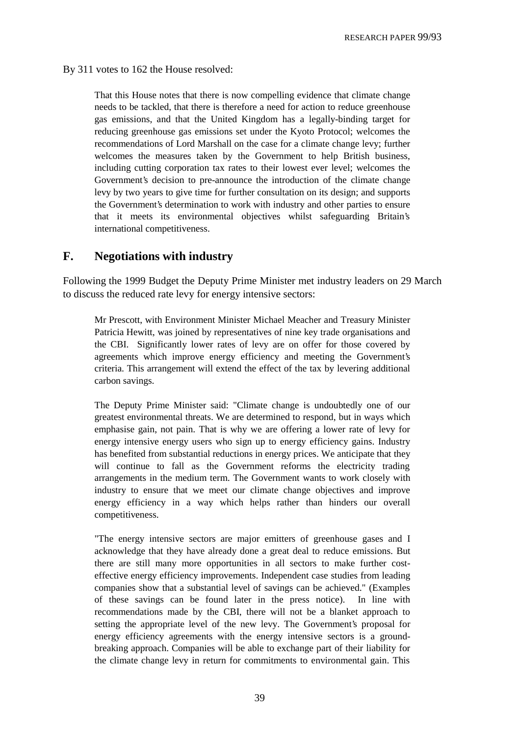By 311 votes to 162 the House resolved:

That this House notes that there is now compelling evidence that climate change needs to be tackled, that there is therefore a need for action to reduce greenhouse gas emissions, and that the United Kingdom has a legally-binding target for reducing greenhouse gas emissions set under the Kyoto Protocol; welcomes the recommendations of Lord Marshall on the case for a climate change levy; further welcomes the measures taken by the Government to help British business, including cutting corporation tax rates to their lowest ever level; welcomes the Government's decision to pre-announce the introduction of the climate change levy by two years to give time for further consultation on its design; and supports the Government's determination to work with industry and other parties to ensure that it meets its environmental objectives whilst safeguarding Britain's international competitiveness.

#### **F. Negotiations with industry**

Following the 1999 Budget the Deputy Prime Minister met industry leaders on 29 March to discuss the reduced rate levy for energy intensive sectors:

Mr Prescott, with Environment Minister Michael Meacher and Treasury Minister Patricia Hewitt, was joined by representatives of nine key trade organisations and the CBI. Significantly lower rates of levy are on offer for those covered by agreements which improve energy efficiency and meeting the Government's criteria. This arrangement will extend the effect of the tax by levering additional carbon savings.

The Deputy Prime Minister said: "Climate change is undoubtedly one of our greatest environmental threats. We are determined to respond, but in ways which emphasise gain, not pain. That is why we are offering a lower rate of levy for energy intensive energy users who sign up to energy efficiency gains. Industry has benefited from substantial reductions in energy prices. We anticipate that they will continue to fall as the Government reforms the electricity trading arrangements in the medium term. The Government wants to work closely with industry to ensure that we meet our climate change objectives and improve energy efficiency in a way which helps rather than hinders our overall competitiveness.

"The energy intensive sectors are major emitters of greenhouse gases and I acknowledge that they have already done a great deal to reduce emissions. But there are still many more opportunities in all sectors to make further costeffective energy efficiency improvements. Independent case studies from leading companies show that a substantial level of savings can be achieved." (Examples of these savings can be found later in the press notice). In line with recommendations made by the CBI, there will not be a blanket approach to setting the appropriate level of the new levy. The Government's proposal for energy efficiency agreements with the energy intensive sectors is a groundbreaking approach. Companies will be able to exchange part of their liability for the climate change levy in return for commitments to environmental gain. This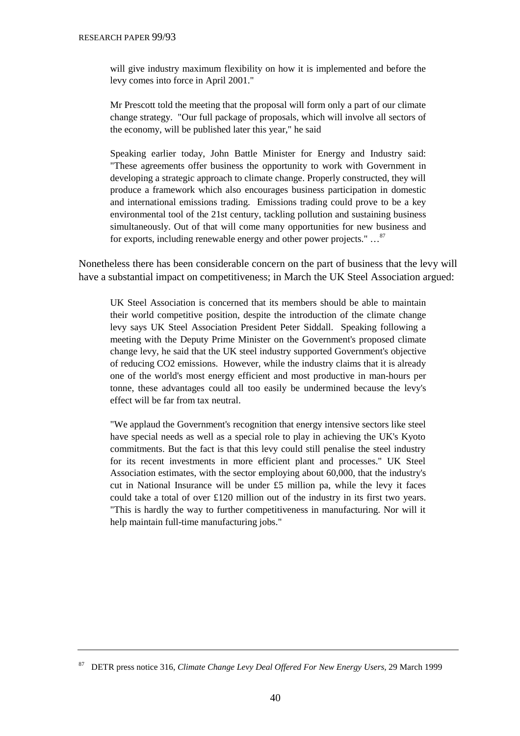will give industry maximum flexibility on how it is implemented and before the levy comes into force in April 2001."

Mr Prescott told the meeting that the proposal will form only a part of our climate change strategy. "Our full package of proposals, which will involve all sectors of the economy, will be published later this year," he said

Speaking earlier today, John Battle Minister for Energy and Industry said: "These agreements offer business the opportunity to work with Government in developing a strategic approach to climate change. Properly constructed, they will produce a framework which also encourages business participation in domestic and international emissions trading. Emissions trading could prove to be a key environmental tool of the 21st century, tackling pollution and sustaining business simultaneously. Out of that will come many opportunities for new business and for exports, including renewable energy and other power projects." …87

Nonetheless there has been considerable concern on the part of business that the levy will have a substantial impact on competitiveness; in March the UK Steel Association argued:

UK Steel Association is concerned that its members should be able to maintain their world competitive position, despite the introduction of the climate change levy says UK Steel Association President Peter Siddall. Speaking following a meeting with the Deputy Prime Minister on the Government's proposed climate change levy, he said that the UK steel industry supported Government's objective of reducing CO2 emissions. However, while the industry claims that it is already one of the world's most energy efficient and most productive in man-hours per tonne, these advantages could all too easily be undermined because the levy's effect will be far from tax neutral.

"We applaud the Government's recognition that energy intensive sectors like steel have special needs as well as a special role to play in achieving the UK's Kyoto commitments. But the fact is that this levy could still penalise the steel industry for its recent investments in more efficient plant and processes." UK Steel Association estimates, with the sector employing about 60,000, that the industry's cut in National Insurance will be under  $£5$  million pa, while the levy it faces could take a total of over £120 million out of the industry in its first two years. "This is hardly the way to further competitiveness in manufacturing. Nor will it help maintain full-time manufacturing jobs."

<sup>87</sup> DETR press notice 316, *Climate Change Levy Deal Offered For New Energy Users,* 29 March 1999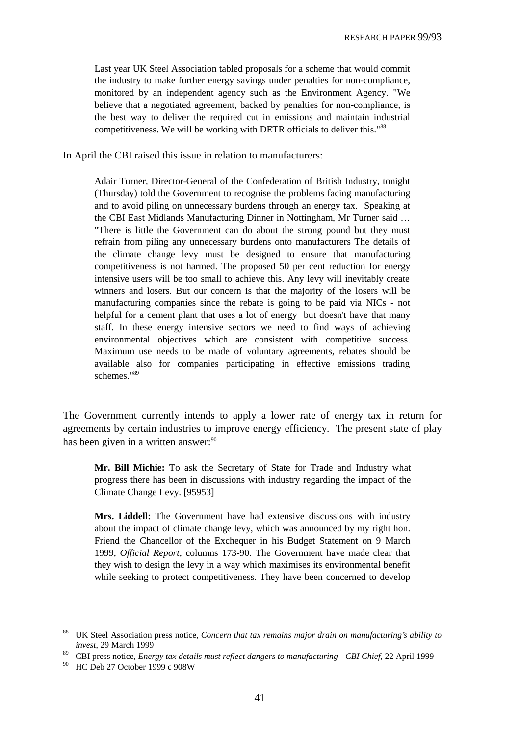Last year UK Steel Association tabled proposals for a scheme that would commit the industry to make further energy savings under penalties for non-compliance, monitored by an independent agency such as the Environment Agency. "We believe that a negotiated agreement, backed by penalties for non-compliance, is the best way to deliver the required cut in emissions and maintain industrial competitiveness. We will be working with DETR officials to deliver this."88

In April the CBI raised this issue in relation to manufacturers:

Adair Turner, Director-General of the Confederation of British Industry, tonight (Thursday) told the Government to recognise the problems facing manufacturing and to avoid piling on unnecessary burdens through an energy tax. Speaking at the CBI East Midlands Manufacturing Dinner in Nottingham, Mr Turner said … "There is little the Government can do about the strong pound but they must refrain from piling any unnecessary burdens onto manufacturers The details of the climate change levy must be designed to ensure that manufacturing competitiveness is not harmed. The proposed 50 per cent reduction for energy intensive users will be too small to achieve this. Any levy will inevitably create winners and losers. But our concern is that the majority of the losers will be manufacturing companies since the rebate is going to be paid via NICs - not helpful for a cement plant that uses a lot of energy but doesn't have that many staff. In these energy intensive sectors we need to find ways of achieving environmental objectives which are consistent with competitive success. Maximum use needs to be made of voluntary agreements, rebates should be available also for companies participating in effective emissions trading schemes."89

The Government currently intends to apply a lower rate of energy tax in return for agreements by certain industries to improve energy efficiency. The present state of play has been given in a written answer:<sup>90</sup>

**Mr. Bill Michie:** To ask the Secretary of State for Trade and Industry what progress there has been in discussions with industry regarding the impact of the Climate Change Levy. [95953]

**Mrs. Liddell:** The Government have had extensive discussions with industry about the impact of climate change levy, which was announced by my right hon. Friend the Chancellor of the Exchequer in his Budget Statement on 9 March 1999, *Official Report*, columns 173-90. The Government have made clear that they wish to design the levy in a way which maximises its environmental benefit while seeking to protect competitiveness. They have been concerned to develop

<sup>88</sup> UK Steel Association press notice, *Concern that tax remains major drain on manufacturing's ability to invest*, 29 March 1999

<sup>89</sup> CBI press notice, *Energy tax details must reflect dangers to manufacturing - CBI Chief*, 22 April 1999

<sup>90</sup> HC Deb 27 October 1999 c 908W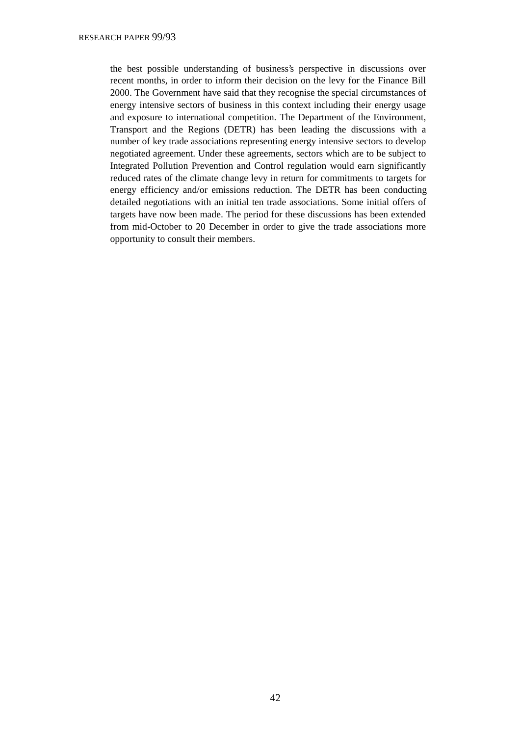the best possible understanding of business's perspective in discussions over recent months, in order to inform their decision on the levy for the Finance Bill 2000. The Government have said that they recognise the special circumstances of energy intensive sectors of business in this context including their energy usage and exposure to international competition. The Department of the Environment, Transport and the Regions (DETR) has been leading the discussions with a number of key trade associations representing energy intensive sectors to develop negotiated agreement. Under these agreements, sectors which are to be subject to Integrated Pollution Prevention and Control regulation would earn significantly reduced rates of the climate change levy in return for commitments to targets for energy efficiency and/or emissions reduction. The DETR has been conducting detailed negotiations with an initial ten trade associations. Some initial offers of targets have now been made. The period for these discussions has been extended from mid-October to 20 December in order to give the trade associations more opportunity to consult their members.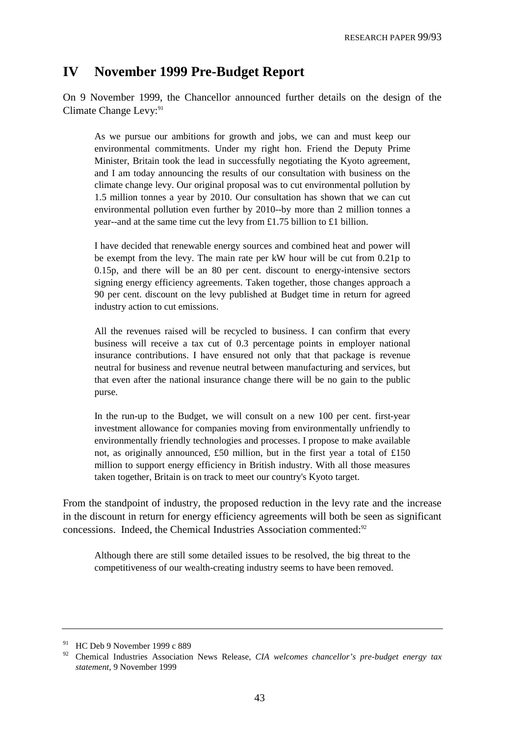# **IV November 1999 Pre-Budget Report**

On 9 November 1999, the Chancellor announced further details on the design of the Climate Change Levy:<sup>91</sup>

As we pursue our ambitions for growth and jobs, we can and must keep our environmental commitments. Under my right hon. Friend the Deputy Prime Minister, Britain took the lead in successfully negotiating the Kyoto agreement, and I am today announcing the results of our consultation with business on the climate change levy. Our original proposal was to cut environmental pollution by 1.5 million tonnes a year by 2010. Our consultation has shown that we can cut environmental pollution even further by 2010--by more than 2 million tonnes a year--and at the same time cut the levy from £1.75 billion to £1 billion.

I have decided that renewable energy sources and combined heat and power will be exempt from the levy. The main rate per kW hour will be cut from 0.21p to 0.15p, and there will be an 80 per cent. discount to energy-intensive sectors signing energy efficiency agreements. Taken together, those changes approach a 90 per cent. discount on the levy published at Budget time in return for agreed industry action to cut emissions.

All the revenues raised will be recycled to business. I can confirm that every business will receive a tax cut of 0.3 percentage points in employer national insurance contributions. I have ensured not only that that package is revenue neutral for business and revenue neutral between manufacturing and services, but that even after the national insurance change there will be no gain to the public purse.

In the run-up to the Budget, we will consult on a new 100 per cent. first-year investment allowance for companies moving from environmentally unfriendly to environmentally friendly technologies and processes. I propose to make available not, as originally announced, £50 million, but in the first year a total of £150 million to support energy efficiency in British industry. With all those measures taken together, Britain is on track to meet our country's Kyoto target.

From the standpoint of industry, the proposed reduction in the levy rate and the increase in the discount in return for energy efficiency agreements will both be seen as significant concessions. Indeed, the Chemical Industries Association commented:92

Although there are still some detailed issues to be resolved, the big threat to the competitiveness of our wealth-creating industry seems to have been removed.

<sup>&</sup>lt;sup>91</sup> HC Deb 9 November 1999 c 889

<sup>92</sup> Chemical Industries Association News Release, *CIA welcomes chancellor's pre-budget energy tax statement*, 9 November 1999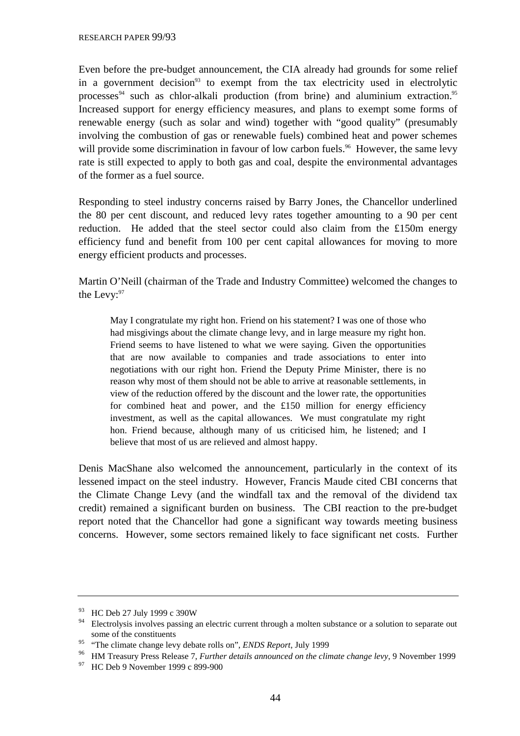Even before the pre-budget announcement, the CIA already had grounds for some relief in a government decision<sup>93</sup> to exempt from the tax electricity used in electrolytic processes<sup>94</sup> such as chlor-alkali production (from brine) and aluminium extraction.<sup>95</sup> Increased support for energy efficiency measures, and plans to exempt some forms of renewable energy (such as solar and wind) together with "good quality" (presumably involving the combustion of gas or renewable fuels) combined heat and power schemes will provide some discrimination in favour of low carbon fuels.<sup>96</sup> However, the same levy rate is still expected to apply to both gas and coal, despite the environmental advantages of the former as a fuel source.

Responding to steel industry concerns raised by Barry Jones, the Chancellor underlined the 80 per cent discount, and reduced levy rates together amounting to a 90 per cent reduction. He added that the steel sector could also claim from the £150m energy efficiency fund and benefit from 100 per cent capital allowances for moving to more energy efficient products and processes.

Martin O'Neill (chairman of the Trade and Industry Committee) welcomed the changes to the Levy: 97

May I congratulate my right hon. Friend on his statement? I was one of those who had misgivings about the climate change levy, and in large measure my right hon. Friend seems to have listened to what we were saying. Given the opportunities that are now available to companies and trade associations to enter into negotiations with our right hon. Friend the Deputy Prime Minister, there is no reason why most of them should not be able to arrive at reasonable settlements, in view of the reduction offered by the discount and the lower rate, the opportunities for combined heat and power, and the £150 million for energy efficiency investment, as well as the capital allowances. We must congratulate my right hon. Friend because, although many of us criticised him, he listened; and I believe that most of us are relieved and almost happy.

Denis MacShane also welcomed the announcement, particularly in the context of its lessened impact on the steel industry. However, Francis Maude cited CBI concerns that the Climate Change Levy (and the windfall tax and the removal of the dividend tax credit) remained a significant burden on business. The CBI reaction to the pre-budget report noted that the Chancellor had gone a significant way towards meeting business concerns. However, some sectors remained likely to face significant net costs. Further

 $^{93}$  HC Deb 27 July 1999 c 390W

<sup>94</sup> Electrolysis involves passing an electric current through a molten substance or a solution to separate out some of the constituents

<sup>95</sup> "The climate change levy debate rolls on", *ENDS Report*, July 1999

<sup>96</sup> HM Treasury Press Release 7, *Further details announced on the climate change levy*, 9 November 1999

<sup>&</sup>lt;sup>97</sup> HC Deb 9 November 1999 c 899-900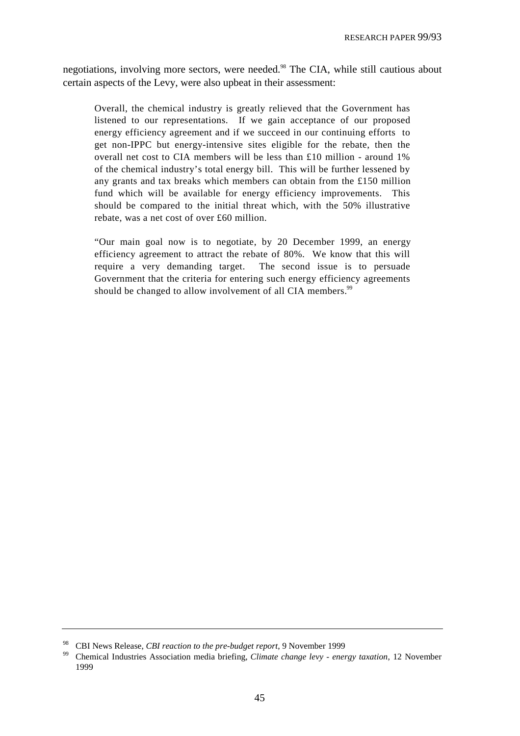negotiations, involving more sectors, were needed.<sup>98</sup> The CIA, while still cautious about certain aspects of the Levy, were also upbeat in their assessment:

Overall, the chemical industry is greatly relieved that the Government has listened to our representations. If we gain acceptance of our proposed energy efficiency agreement and if we succeed in our continuing efforts to get non-IPPC but energy-intensive sites eligible for the rebate, then the overall net cost to CIA members will be less than £10 million - around 1% of the chemical industry's total energy bill. This will be further lessened by any grants and tax breaks which members can obtain from the £150 million fund which will be available for energy efficiency improvements. This should be compared to the initial threat which, with the 50% illustrative rebate, was a net cost of over £60 million.

"Our main goal now is to negotiate, by 20 December 1999, an energy efficiency agreement to attract the rebate of 80%. We know that this will require a very demanding target. The second issue is to persuade Government that the criteria for entering such energy efficiency agreements should be changed to allow involvement of all CIA members.<sup>99</sup>

<sup>98</sup> CBI News Release, *CBI reaction to the pre-budget report*, 9 November 1999

<sup>99</sup> Chemical Industries Association media briefing, *Climate change levy - energy taxation*, 12 November 1999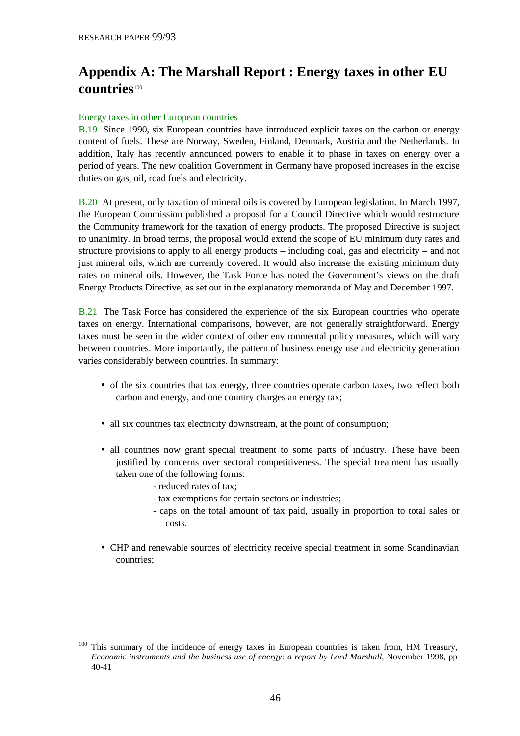# **Appendix A: The Marshall Report : Energy taxes in other EU countries**<sup>100</sup>

#### Energy taxes in other European countries

B.19 Since 1990, six European countries have introduced explicit taxes on the carbon or energy content of fuels. These are Norway, Sweden, Finland, Denmark, Austria and the Netherlands. In addition, Italy has recently announced powers to enable it to phase in taxes on energy over a period of years. The new coalition Government in Germany have proposed increases in the excise duties on gas, oil, road fuels and electricity.

B.20 At present, only taxation of mineral oils is covered by European legislation. In March 1997, the European Commission published a proposal for a Council Directive which would restructure the Community framework for the taxation of energy products. The proposed Directive is subject to unanimity. In broad terms, the proposal would extend the scope of EU minimum duty rates and structure provisions to apply to all energy products – including coal, gas and electricity – and not just mineral oils, which are currently covered. It would also increase the existing minimum duty rates on mineral oils. However, the Task Force has noted the Government's views on the draft Energy Products Directive, as set out in the explanatory memoranda of May and December 1997.

B.21 The Task Force has considered the experience of the six European countries who operate taxes on energy. International comparisons, however, are not generally straightforward. Energy taxes must be seen in the wider context of other environmental policy measures, which will vary between countries. More importantly, the pattern of business energy use and electricity generation varies considerably between countries. In summary:

- of the six countries that tax energy, three countries operate carbon taxes, two reflect both carbon and energy, and one country charges an energy tax;
- all six countries tax electricity downstream, at the point of consumption;
- all countries now grant special treatment to some parts of industry. These have been justified by concerns over sectoral competitiveness. The special treatment has usually taken one of the following forms:
	- reduced rates of tax;
	- tax exemptions for certain sectors or industries;
	- caps on the total amount of tax paid, usually in proportion to total sales or costs.
- CHP and renewable sources of electricity receive special treatment in some Scandinavian countries;

<sup>&</sup>lt;sup>100</sup> This summary of the incidence of energy taxes in European countries is taken from, HM Treasury, *Economic instruments and the business use of energy: a report by Lord Marshall*, November 1998, pp 40-41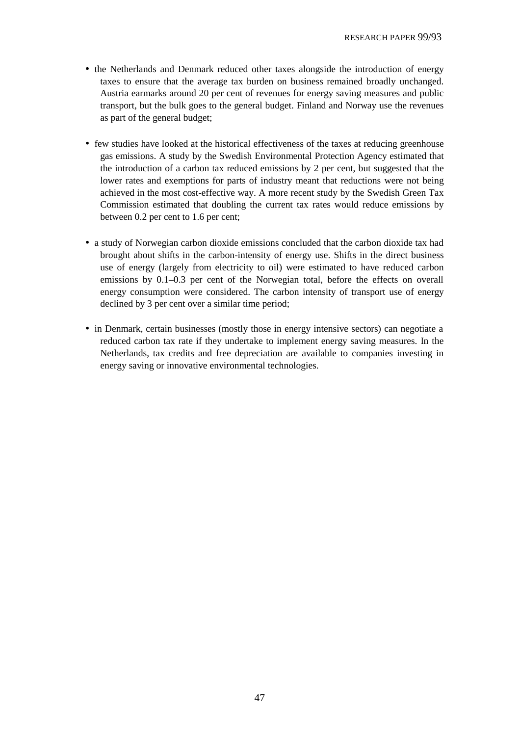- the Netherlands and Denmark reduced other taxes alongside the introduction of energy taxes to ensure that the average tax burden on business remained broadly unchanged. Austria earmarks around 20 per cent of revenues for energy saving measures and public transport, but the bulk goes to the general budget. Finland and Norway use the revenues as part of the general budget;
- few studies have looked at the historical effectiveness of the taxes at reducing greenhouse gas emissions. A study by the Swedish Environmental Protection Agency estimated that the introduction of a carbon tax reduced emissions by 2 per cent, but suggested that the lower rates and exemptions for parts of industry meant that reductions were not being achieved in the most cost-effective way. A more recent study by the Swedish Green Tax Commission estimated that doubling the current tax rates would reduce emissions by between 0.2 per cent to 1.6 per cent;
- a study of Norwegian carbon dioxide emissions concluded that the carbon dioxide tax had brought about shifts in the carbon-intensity of energy use. Shifts in the direct business use of energy (largely from electricity to oil) were estimated to have reduced carbon emissions by 0.1–0.3 per cent of the Norwegian total, before the effects on overall energy consumption were considered. The carbon intensity of transport use of energy declined by 3 per cent over a similar time period;
- in Denmark, certain businesses (mostly those in energy intensive sectors) can negotiate a reduced carbon tax rate if they undertake to implement energy saving measures. In the Netherlands, tax credits and free depreciation are available to companies investing in energy saving or innovative environmental technologies.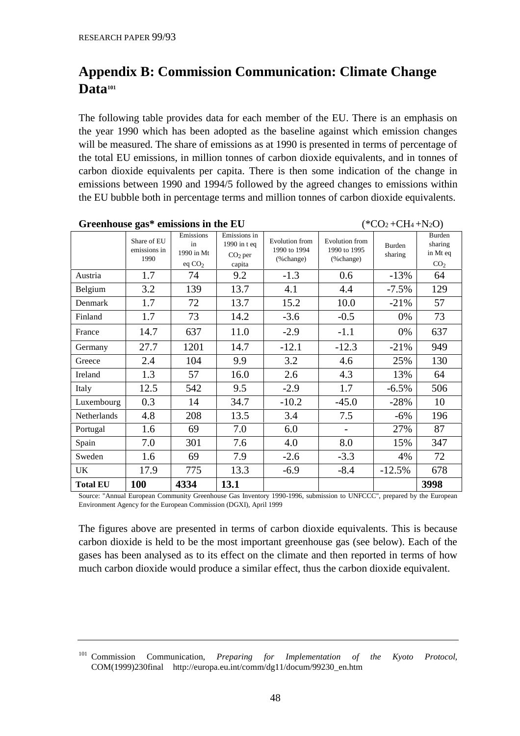# **Appendix B: Commission Communication: Climate Change** Data<sup>101</sup>

The following table provides data for each member of the EU. There is an emphasis on the year 1990 which has been adopted as the baseline against which emission changes will be measured. The share of emissions as at 1990 is presented in terms of percentage of the total EU emissions, in million tonnes of carbon dioxide equivalents, and in tonnes of carbon dioxide equivalents per capita. There is then some indication of the change in emissions between 1990 and 1994/5 followed by the agreed changes to emissions within the EU bubble both in percentage terms and million tonnes of carbon dioxide equivalents.

|                    | Share of EU<br>emissions in<br>1990 | Emissions<br>in<br>1990 in Mt<br>eq $CO2$ | Emissions in<br>1990 in t eq<br>$CO2$ per<br>capita | <b>Evolution</b> from<br>1990 to 1994<br>(%change) | <b>Evolution</b> from<br>1990 to 1995<br>% change) | Burden<br>sharing | Burden<br>sharing<br>in Mt eq<br>CO <sub>2</sub> |
|--------------------|-------------------------------------|-------------------------------------------|-----------------------------------------------------|----------------------------------------------------|----------------------------------------------------|-------------------|--------------------------------------------------|
| Austria            | 1.7                                 | 74                                        | 9.2                                                 | $-1.3$                                             | 0.6                                                | $-13%$            | 64                                               |
| Belgium            | 3.2                                 | 139                                       | 13.7                                                | 4.1                                                | 4.4                                                | $-7.5%$           | 129                                              |
| Denmark            | 1.7                                 | 72                                        | 13.7                                                | 15.2                                               | 10.0                                               | $-21%$            | 57                                               |
| Finland            | 1.7                                 | 73                                        | 14.2                                                | $-3.6$                                             | $-0.5$                                             | 0%                | 73                                               |
| France             | 14.7                                | 637                                       | 11.0                                                | $-2.9$                                             | $-1.1$                                             | 0%                | 637                                              |
| Germany            | 27.7                                | 1201                                      | 14.7                                                | $-12.1$                                            | $-12.3$                                            | $-21%$            | 949                                              |
| Greece             | 2.4                                 | 104                                       | 9.9                                                 | 3.2                                                | 4.6                                                | 25%               | 130                                              |
| Ireland            | 1.3                                 | 57                                        | 16.0                                                | 2.6                                                | 4.3                                                | 13%               | 64                                               |
| Italy              | 12.5                                | 542                                       | 9.5                                                 | $-2.9$                                             | 1.7                                                | $-6.5\%$          | 506                                              |
| Luxembourg         | 0.3                                 | 14                                        | 34.7                                                | $-10.2$                                            | $-45.0$                                            | $-28%$            | 10                                               |
| <b>Netherlands</b> | 4.8                                 | 208                                       | 13.5                                                | 3.4                                                | 7.5                                                | $-6%$             | 196                                              |
| Portugal           | 1.6                                 | 69                                        | 7.0                                                 | 6.0                                                |                                                    | 27%               | 87                                               |
| Spain              | 7.0                                 | 301                                       | 7.6                                                 | 4.0                                                | 8.0                                                | 15%               | 347                                              |
| Sweden             | 1.6                                 | 69                                        | 7.9                                                 | $-2.6$                                             | $-3.3$                                             | 4%                | 72                                               |
| UK                 | 17.9                                | 775                                       | 13.3                                                | $-6.9$                                             | $-8.4$                                             | $-12.5%$          | 678                                              |
| <b>Total EU</b>    | <b>100</b>                          | 4334                                      | 13.1                                                |                                                    |                                                    |                   | 3998                                             |

**Greenhouse gas\* emissions in the EU**  $(*CO_2 + CH_4 + N_2O)$ 

Source: "Annual European Community Greenhouse Gas Inventory 1990-1996, submission to UNFCCC", prepared by the European Environment Agency for the European Commission (DGXI), April 1999

The figures above are presented in terms of carbon dioxide equivalents. This is because carbon dioxide is held to be the most important greenhouse gas (see below). Each of the gases has been analysed as to its effect on the climate and then reported in terms of how much carbon dioxide would produce a similar effect, thus the carbon dioxide equivalent.

<sup>101</sup> Commission Communication, *Preparing for Implementation of the Kyoto Protocol*, COM(1999)230final http://europa.eu.int/comm/dg11/docum/99230\_en.htm